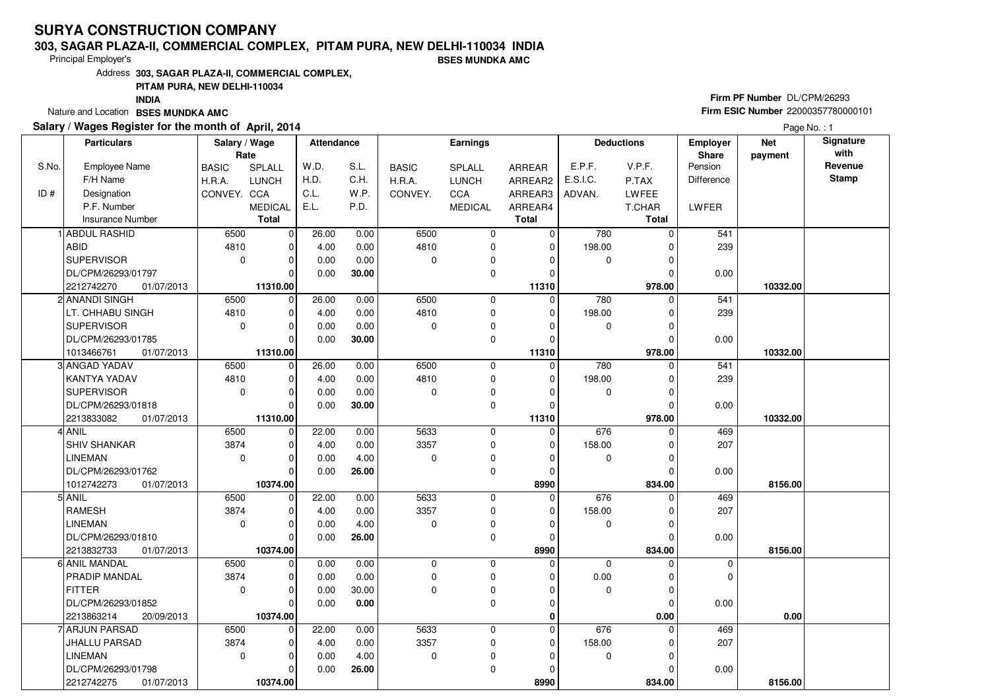#### **303, SAGAR PLAZA-II, COMMERCIAL COMPLEX, PITAM PURA, NEW DELHI-110034 INDIABSES MUNDKA AMC**

Principal Employer's

Address**303, SAGAR PLAZA-II, COMMERCIAL COMPLEX,**

#### **PITAM PURA, NEW DELHI-110034**

**INDIA**

Nature and Location **BSES MUNDKA AMC** 

#### **Salary / Wages Register for the month of April, 2014**

# **Firm PF Number** DL/CPM/26293 **Firm ESIC Number** <sup>22000357780000101</sup>

|       | <b>Particulars</b>                        | Salary / Wage<br>Rate |                         | Attendance |       |              | <b>Earnings</b> |                  |             | <b>Deductions</b>  | <b>Employer</b><br>Share | <b>Net</b><br>payment | Signature<br>with |
|-------|-------------------------------------------|-----------------------|-------------------------|------------|-------|--------------|-----------------|------------------|-------------|--------------------|--------------------------|-----------------------|-------------------|
| S.No. | <b>Employee Name</b>                      | <b>BASIC</b>          | SPLALL                  | W.D.       | S.L.  | <b>BASIC</b> | SPLALL          | <b>ARREAR</b>    | E.P.F.      | V.P.F.             | Pension                  |                       | Revenue           |
|       | F/H Name                                  | H.R.A.                | <b>LUNCH</b>            | H.D.       | C.H.  | H.R.A.       | <b>LUNCH</b>    | ARREAR2          | E.S.I.C.    | P.TAX              | Difference               |                       | <b>Stamp</b>      |
| ID#   | Designation                               | CONVEY. CCA           |                         | C.L.       | W.P.  | CONVEY.      | CCA             | ARREAR3          | ADVAN.      | <b>LWFEE</b>       |                          |                       |                   |
|       | P.F. Number                               |                       | <b>MEDICAL</b>          | E.L.       | P.D.  |              | <b>MEDICAL</b>  | ARREAR4          |             | T.CHAR             | LWFER                    |                       |                   |
|       | <b>Insurance Number</b>                   |                       | <b>Total</b>            |            |       |              |                 | <b>Total</b>     |             | Total              |                          |                       |                   |
|       | 1 ABDUL RASHID                            | 6500                  | $\mathbf 0$             | 26.00      | 0.00  | 6500         | 0               | 0                | 780         | $\Omega$           | 541                      |                       |                   |
|       | <b>ABID</b>                               | 4810                  | $\mathbf 0$             | 4.00       | 0.00  | 4810         | 0               | $\mathbf 0$      | 198.00      | O                  | 239                      |                       |                   |
|       | <b>SUPERVISOR</b>                         | $\mathbf 0$           | $\mathbf 0$             | 0.00       | 0.00  | 0            | 0               | 0                | 0           | $\Omega$           |                          |                       |                   |
|       | DL/CPM/26293/01797                        |                       | $\Omega$                | 0.00       | 30.00 |              | 0               | $\Omega$         |             | $\Omega$           | 0.00                     |                       |                   |
|       | 2212742270<br>01/07/2013                  |                       | 11310.00                |            |       |              |                 | 11310            |             | 978.00             |                          | 10332.00              |                   |
|       | 2 ANANDI SINGH                            | 6500                  | 0                       | 26.00      | 0.00  | 6500         | 0               | $\mathbf 0$      | 780         | $\Omega$           | 541                      |                       |                   |
|       | LT. CHHABU SINGH                          | 4810                  | $\mathbf 0$             | 4.00       | 0.00  | 4810         | $\mathbf 0$     | $\mathbf 0$      | 198.00      | O                  | 239                      |                       |                   |
|       | <b>SUPERVISOR</b>                         | $\mathbf 0$           | $\mathbf 0$             | 0.00       | 0.00  | 0            | 0               | $\Omega$         | 0           | O                  |                          |                       |                   |
|       | DL/CPM/26293/01785                        |                       | $\overline{0}$          | 0.00       | 30.00 |              | 0               | $\Omega$         |             | O                  | 0.00                     |                       |                   |
|       | 1013466761<br>01/07/2013                  |                       | 11310.00                |            |       |              |                 | 11310            |             | 978.00             |                          | 10332.00              |                   |
|       | 3 ANGAD YADAV                             | 6500                  | 0                       | 26.00      | 0.00  | 6500         | $\mathbf 0$     | $\mathbf 0$      | 780         | $\Omega$           | 541                      |                       |                   |
|       | KANTYA YADAV                              | 4810                  | $\mathbf 0$             | 4.00       | 0.00  | 4810         | 0               | $\mathbf 0$      | 198.00      | 0                  | 239                      |                       |                   |
|       | <b>SUPERVISOR</b>                         | $\mathbf 0$           | $\mathbf 0$             | 0.00       | 0.00  | $\Omega$     | 0               | $\Omega$         | $\mathbf 0$ | $\Omega$           |                          |                       |                   |
|       | DL/CPM/26293/01818                        |                       | $\mathbf 0$             | 0.00       | 30.00 |              | 0               | $\mathbf 0$      |             | $\mathcal{C}$      | 0.00                     |                       |                   |
|       | 2213833082<br>01/07/2013                  |                       | 11310.00                |            |       |              |                 | 11310            |             | 978.00             |                          | 10332.00              |                   |
|       | 4 ANIL                                    | 6500                  | 0                       | 22.00      | 0.00  | 5633         | $\mathbf 0$     | 0                | 676         | $\Omega$           | 469                      |                       |                   |
|       | SHIV SHANKAR                              | 3874                  | $\mathbf 0$             | 4.00       | 0.00  | 3357         | 0               | $\Omega$         | 158.00      |                    | 207                      |                       |                   |
|       | <b>LINEMAN</b>                            | $\Omega$              | $\mathbf 0$             | 0.00       | 4.00  | 0            | 0               | $\Omega$         | 0           | $\Omega$           |                          |                       |                   |
|       | DL/CPM/26293/01762                        |                       | $\Omega$                | 0.00       | 26.00 |              | $\mathbf 0$     | $\Omega$         |             | $\Omega$           | 0.00                     |                       |                   |
|       | 1012742273<br>01/07/2013                  |                       | 10374.00                |            |       |              |                 | 8990             |             | 834.00             |                          | 8156.00               |                   |
|       | 5 ANIL                                    | 6500                  | $\mathbf 0$             | 22.00      | 0.00  | 5633         | 0               | $\mathbf 0$      | 676         | $\Omega$           | 469                      |                       |                   |
|       | <b>RAMESH</b>                             | 3874                  | $\mathbf 0$             | 4.00       | 0.00  | 3357         | 0               | $\Omega$         | 158.00      |                    | 207                      |                       |                   |
|       | <b>LINEMAN</b>                            | $\mathbf 0$           | $\mathbf 0$             | 0.00       | 4.00  | 0            | 0               | $\mathbf 0$      | 0           | O                  |                          |                       |                   |
|       | DL/CPM/26293/01810                        |                       | $\mathbf 0$             | 0.00       | 26.00 |              | 0               | $\Omega$         |             | $\mathcal{C}$      | 0.00                     |                       |                   |
|       | 2213832733<br>01/07/2013<br>6 ANIL MANDAL | 6500                  | 10374.00<br>$\mathbf 0$ | 0.00       | 0.00  | 0            | $\mathbf 0$     | 8990<br>$\Omega$ | $\mathbf 0$ | 834.00<br>$\Omega$ | $\mathbf 0$              | 8156.00               |                   |
|       | PRADIP MANDAL                             | 3874                  | $\mathbf 0$             | 0.00       | 0.00  | $\mathbf 0$  | $\mathbf 0$     | $\Omega$         | 0.00        | $\Omega$           | $\Omega$                 |                       |                   |
|       | <b>FITTER</b>                             | $\mathbf 0$           | $\mathbf 0$             | 0.00       | 30.00 | $\mathbf 0$  | 0               | $\Omega$         | $\mathbf 0$ | $\Omega$           |                          |                       |                   |
|       | DL/CPM/26293/01852                        |                       | $\Omega$                | 0.00       | 0.00  |              | $\mathbf 0$     | $\mathbf 0$      |             | $\Omega$           | 0.00                     |                       |                   |
|       | 2213863214<br>20/09/2013                  |                       | 10374.00                |            |       |              |                 | 0                |             | 0.00               |                          | 0.00                  |                   |
|       | 7 ARJUN PARSAD                            | 6500                  | $\mathbf 0$             | 22.00      | 0.00  | 5633         | 0               | $\Omega$         | 676         |                    | 469                      |                       |                   |
|       | <b>JHALLU PARSAD</b>                      | 3874                  | $\mathbf 0$             | 4.00       | 0.00  | 3357         | 0               | $\mathbf 0$      | 158.00      |                    | 207                      |                       |                   |
|       | <b>LINEMAN</b>                            | $\mathbf 0$           | $\mathbf 0$             | 0.00       | 4.00  | 0            | 0               | $\Omega$         | $\mathbf 0$ | $\Omega$           |                          |                       |                   |
|       | DL/CPM/26293/01798                        |                       | $\mathbf 0$             | 0.00       | 26.00 |              | 0               | $\mathbf 0$      |             | 0                  | 0.00                     |                       |                   |
|       | 2212742275<br>01/07/2013                  |                       | 10374.00                |            |       |              |                 | 8990             |             | 834.00             |                          | 8156.00               |                   |
|       |                                           |                       |                         |            |       |              |                 |                  |             |                    |                          |                       |                   |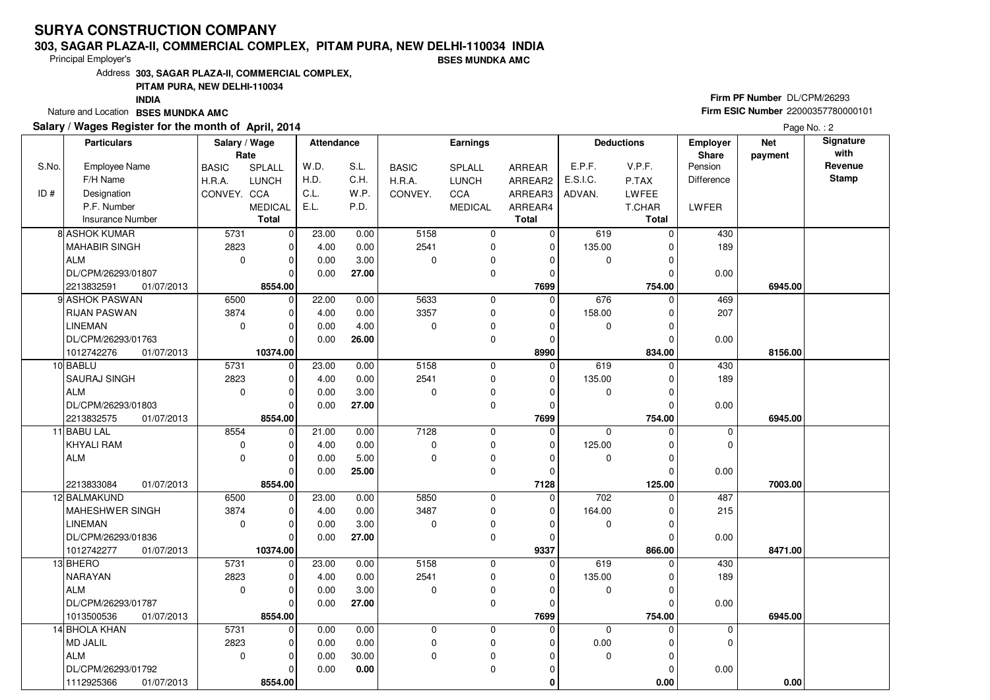#### **303, SAGAR PLAZA-II, COMMERCIAL COMPLEX, PITAM PURA, NEW DELHI-110034 INDIABSES MUNDKA AMC**

Principal Employer's

 Address**303, SAGAR PLAZA-II, COMMERCIAL COMPLEX,PITAM PURA, NEW DELHI-110034**

**INDIA**

Nature and Location **BSES MUNDKA AMC** 

### **Salary / Wages Register for the month of April, 2014**

# **Firm PF Number** DL/CPM/26293 **Firm ESIC Number** <sup>22000357780000101</sup>

|       | <b>Particulars</b>       | Salary / Wage |                | Attendance |       |                | Earnings       |                |             | <b>Deductions</b> | <b>Employer</b>   | <b>Net</b> | Signature    |
|-------|--------------------------|---------------|----------------|------------|-------|----------------|----------------|----------------|-------------|-------------------|-------------------|------------|--------------|
|       |                          | Rate          |                |            |       |                |                |                |             |                   | Share             | payment    | with         |
| S.No. | Employee Name            | <b>BASIC</b>  | SPLALL         | W.D.       | S.L.  | <b>BASIC</b>   | SPLALL         | <b>ARREAR</b>  | E.P.F.      | V.P.F.            | Pension           |            | Revenue      |
|       | F/H Name                 | H.R.A.        | <b>LUNCH</b>   | H.D.       | C.H.  | H.R.A.         | LUNCH          | ARREAR2        | E.S.I.C.    | P.TAX             | <b>Difference</b> |            | <b>Stamp</b> |
| ID#   | Designation              | CONVEY. CCA   |                | C.L.       | W.P.  | CONVEY.        | CCA            | ARREAR3        | ADVAN.      | <b>LWFEE</b>      |                   |            |              |
|       | P.F. Number              |               | <b>MEDICAL</b> | E.L.       | P.D.  |                | <b>MEDICAL</b> | ARREAR4        |             | T.CHAR            | LWFER             |            |              |
|       | Insurance Number         |               | <b>Total</b>   |            |       |                |                | <b>Total</b>   |             | <b>Total</b>      |                   |            |              |
|       | 8 ASHOK KUMAR            | 5731          | $\overline{0}$ | 23.00      | 0.00  | 5158           | 0              | 0              | 619         | $\Omega$          | 430               |            |              |
|       | <b>MAHABIR SINGH</b>     | 2823          | $\overline{0}$ | 4.00       | 0.00  | 2541           | 0              | 0              | 135.00      | 0                 | 189               |            |              |
|       | <b>ALM</b>               | $\mathbf 0$   | $\overline{0}$ | 0.00       | 3.00  | $\mathbf 0$    | 0              | 0              | 0           | 0                 |                   |            |              |
|       | DL/CPM/26293/01807       |               | 0              | 0.00       | 27.00 |                | 0              | 0              |             | 0                 | 0.00              |            |              |
|       | 2213832591<br>01/07/2013 |               | 8554.00        |            |       |                |                | 7699           |             | 754.00            |                   | 6945.00    |              |
|       | 9 ASHOK PASWAN           | 6500          | 0              | 22.00      | 0.00  | 5633           | 0              | 0              | 676         | 0                 | 469               |            |              |
|       | <b>RIJAN PASWAN</b>      | 3874          | $\overline{0}$ | 4.00       | 0.00  | 3357           | 0              | $\mathbf 0$    | 158.00      | 0                 | 207               |            |              |
|       | <b>LINEMAN</b>           | $\mathbf 0$   | 0              | 0.00       | 4.00  | $\pmb{0}$      | 0              | 0              | 0           | 0                 |                   |            |              |
|       | DL/CPM/26293/01763       |               | 0              | 0.00       | 26.00 |                | 0              | 0              |             | 0                 | 0.00              |            |              |
|       | 1012742276<br>01/07/2013 |               | 10374.00       |            |       |                |                | 8990           |             | 834.00            |                   | 8156.00    |              |
|       | 10 BABLU                 | 5731          | 0              | 23.00      | 0.00  | 5158           | 0              | $\mathbf 0$    | 619         | 0                 | 430               |            |              |
|       | SAURAJ SINGH             | 2823          | $\overline{0}$ | 4.00       | 0.00  | 2541           | 0              | 0              | 135.00      | 0                 | 189               |            |              |
|       | <b>ALM</b>               | $\mathbf 0$   | $\overline{0}$ | 0.00       | 3.00  | $\mathbf 0$    | 0              | 0              | 0           | 0                 |                   |            |              |
|       | DL/CPM/26293/01803       |               | 0              | 0.00       | 27.00 |                | 0              | 0              |             | 0                 | 0.00              |            |              |
|       | 2213832575<br>01/07/2013 |               | 8554.00        |            |       |                |                | 7699           |             | 754.00            |                   | 6945.00    |              |
|       | 11 BABU LAL              | 8554          | 0              | 21.00      | 0.00  | 7128           | $\mathbf 0$    | $\mathbf 0$    | $\mathbf 0$ | $\mathbf 0$       | $\mathbf 0$       |            |              |
|       | <b>KHYALI RAM</b>        | $\mathbf 0$   | $\overline{0}$ | 4.00       | 0.00  | $\mathbf 0$    | 0              | $\mathbf 0$    | 125.00      | $\Omega$          | $\Omega$          |            |              |
|       | <b>ALM</b>               | $\mathbf 0$   | 0              | 0.00       | 5.00  | $\overline{0}$ | 0              | 0              | 0           | 0                 |                   |            |              |
|       |                          |               | $\Omega$       | 0.00       | 25.00 |                | 0              | $\mathbf 0$    |             | 0                 | 0.00              |            |              |
|       | 01/07/2013<br>2213833084 |               | 8554.00        |            |       |                |                | 7128           |             | 125.00            |                   | 7003.00    |              |
|       | 12 BALMAKUND             | 6500          | $\overline{0}$ | 23.00      | 0.00  | 5850           | 0              | 0              | 702         | 0                 | 487               |            |              |
|       | <b>MAHESHWER SINGH</b>   | 3874          | 0              | 4.00       | 0.00  | 3487           | 0              | 0              | 164.00      | 0                 | 215               |            |              |
|       | <b>LINEMAN</b>           | $\mathbf 0$   | 0              | 0.00       | 3.00  | $\mathbf 0$    | 0              | $\overline{0}$ | $\mathbf 0$ | 0                 |                   |            |              |
|       | DL/CPM/26293/01836       |               | 0              | 0.00       | 27.00 |                | 0              | 0              |             | 0                 | 0.00              |            |              |
|       | 1012742277<br>01/07/2013 |               | 10374.00       |            |       |                |                | 9337           |             | 866.00            |                   | 8471.00    |              |
|       | 13 BHERO                 | 5731          | $\overline{0}$ | 23.00      | 0.00  | 5158           | 0              | 0              | 619         | 0                 | 430               |            |              |
|       | NARAYAN                  | 2823          | 0              | 4.00       | 0.00  | 2541           | 0              | $\mathbf 0$    | 135.00      | 0                 | 189               |            |              |
|       | <b>ALM</b>               | $\mathbf 0$   | 0              | 0.00       | 3.00  | $\overline{0}$ | 0              | $\mathbf 0$    | $\mathbf 0$ | 0                 |                   |            |              |
|       | DL/CPM/26293/01787       |               | $\overline{0}$ | 0.00       | 27.00 |                | $\mathbf 0$    | $\mathbf 0$    |             | <sup>0</sup>      | 0.00              |            |              |
|       | 1013500536<br>01/07/2013 |               | 8554.00        |            |       |                |                | 7699           |             | 754.00            |                   | 6945.00    |              |
|       | 14 BHOLA KHAN            | 5731          | $\overline{0}$ | 0.00       | 0.00  | 0              | 0              | $\mathbf 0$    | $\mathbf 0$ | 0                 | $\mathbf 0$       |            |              |
|       | <b>MD JALIL</b>          | 2823          | $\overline{0}$ | 0.00       | 0.00  | $\pmb{0}$      | 0              | 0              | 0.00        | 0                 | $\Omega$          |            |              |
|       | <b>ALM</b>               | $\mathbf 0$   | $\mathbf 0$    | 0.00       | 30.00 | $\mathbf 0$    | 0              | $\mathbf 0$    | $\mathbf 0$ | $\mathbf 0$       |                   |            |              |
|       | DL/CPM/26293/01792       |               | $\mathbf 0$    | 0.00       | 0.00  |                | $\mathbf 0$    | 0              |             | 0                 | 0.00              |            |              |
|       | 1112925366<br>01/07/2013 |               | 8554.00        |            |       |                |                | 0              |             | 0.00              |                   | 0.00       |              |
|       |                          |               |                |            |       |                |                |                |             |                   |                   |            |              |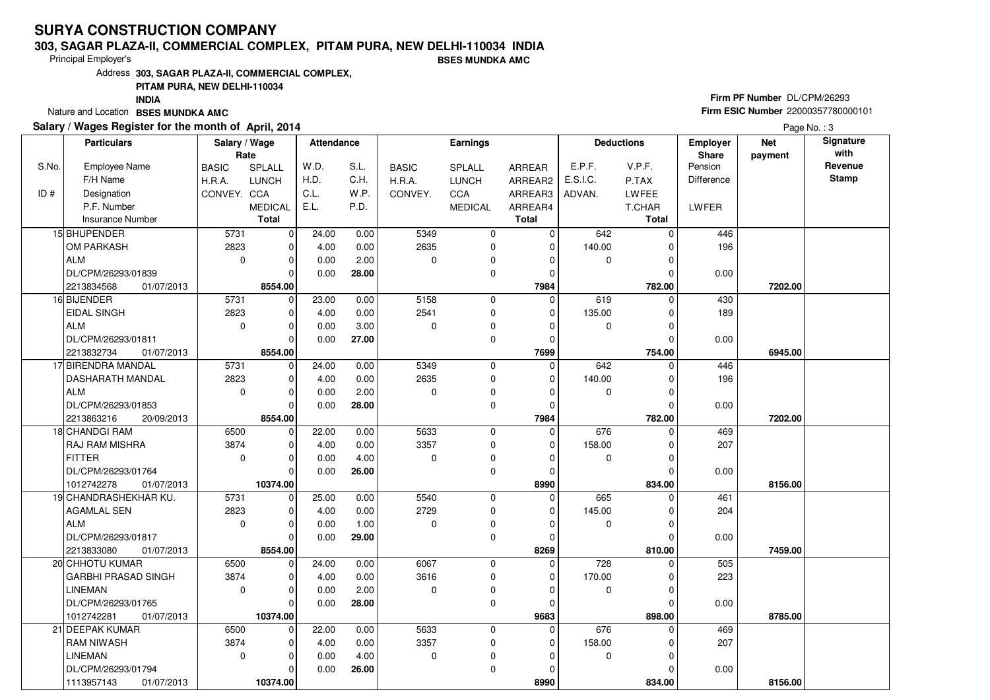#### **303, SAGAR PLAZA-II, COMMERCIAL COMPLEX, PITAM PURA, NEW DELHI-110034 INDIABSES MUNDKA AMC**

Principal Employer's

Address**303, SAGAR PLAZA-II, COMMERCIAL COMPLEX,**

#### **PITAM PURA, NEW DELHI-110034**

**INDIA**

Nature and Location **BSES MUNDKA AMC** 

### **Salary / Wages Register for the month of April, 2014**

# **Firm PF Number** DL/CPM/26293 **Firm ESIC Number** <sup>22000357780000101</sup>

|       | <b>Particulars</b>         | Salary / Wage<br>Rate |                | <b>Attendance</b> |       |              | <b>Earnings</b> |              |             | <b>Deductions</b> | <b>Employer</b><br>Share | <b>Net</b><br>payment | Signature<br>with |
|-------|----------------------------|-----------------------|----------------|-------------------|-------|--------------|-----------------|--------------|-------------|-------------------|--------------------------|-----------------------|-------------------|
| S.No. | <b>Employee Name</b>       | <b>BASIC</b>          | SPLALL         | W.D.              | S.L.  | <b>BASIC</b> | SPLALL          | ARREAR       | E.P.F.      | V.P.F.            | Pension                  |                       | Revenue           |
|       | F/H Name                   | H.R.A.                | <b>LUNCH</b>   | H.D.              | C.H.  | H.R.A.       | <b>LUNCH</b>    | ARREAR2      | E.S.I.C.    | P.TAX             | Difference               |                       | <b>Stamp</b>      |
| ID#   | Designation                | CONVEY. CCA           |                | C.L.              | W.P.  | CONVEY.      | CCA             | ARREAR3      | ADVAN.      | LWFEE             |                          |                       |                   |
|       | P.F. Number                |                       | <b>MEDICAL</b> | E.L.              | P.D.  |              | <b>MEDICAL</b>  | ARREAR4      |             | T.CHAR            | LWFER                    |                       |                   |
|       | <b>Insurance Number</b>    |                       | <b>Total</b>   |                   |       |              |                 | <b>Total</b> |             | <b>Total</b>      |                          |                       |                   |
|       | 15 BHUPENDER               | 5731                  | $\mathbf 0$    | 24.00             | 0.00  | 5349         | 0               | $\mathbf 0$  | 642         | 0                 | 446                      |                       |                   |
|       | OM PARKASH                 | 2823                  | $\mathbf 0$    | 4.00              | 0.00  | 2635         | 0               | $\mathbf 0$  | 140.00      | $\Omega$          | 196                      |                       |                   |
|       | ALM                        | $\mathbf 0$           | $\mathbf 0$    | 0.00              | 2.00  | $\Omega$     | 0               | $\Omega$     | 0           |                   |                          |                       |                   |
|       | DL/CPM/26293/01839         |                       | $\Omega$       | 0.00              | 28.00 |              | $\mathbf 0$     | $\mathbf 0$  |             | 0                 | 0.00                     |                       |                   |
|       | 2213834568<br>01/07/2013   |                       | 8554.00        |                   |       |              |                 | 7984         |             | 782.00            |                          | 7202.00               |                   |
|       | 16 BIJENDER                | 5731                  | $\overline{0}$ | 23.00             | 0.00  | 5158         | $\mathbf 0$     | $\Omega$     | 619         | $\Omega$          | 430                      |                       |                   |
|       | <b>EIDAL SINGH</b>         | 2823                  | $\mathbf 0$    | 4.00              | 0.00  | 2541         | $\mathbf 0$     | 0            | 135.00      | O                 | 189                      |                       |                   |
|       | ALM                        | $\mathbf 0$           | $\mathbf 0$    | 0.00              | 3.00  | $\Omega$     | 0               | $\Omega$     | 0           |                   |                          |                       |                   |
|       | DL/CPM/26293/01811         |                       | $\Omega$       | 0.00              | 27.00 |              | $\mathbf 0$     | 0            |             | $\Omega$          | 0.00                     |                       |                   |
|       | 2213832734<br>01/07/2013   |                       | 8554.00        |                   |       |              |                 | 7699         |             | 754.00            |                          | 6945.00               |                   |
|       | 17 BIRENDRA MANDAL         | 5731                  | $\mathbf 0$    | 24.00             | 0.00  | 5349         | $\mathbf 0$     | $\Omega$     | 642         | $\Omega$          | 446                      |                       |                   |
|       | <b>DASHARATH MANDAL</b>    | 2823                  | $\mathbf 0$    | 4.00              | 0.00  | 2635         | $\mathbf 0$     | 0            | 140.00      |                   | 196                      |                       |                   |
|       | ALM                        | $\Omega$              | $\Omega$       | 0.00              | 2.00  | $\Omega$     | $\mathbf 0$     | $\Omega$     | $\mathbf 0$ | O                 |                          |                       |                   |
|       | DL/CPM/26293/01853         |                       | $\Omega$       | 0.00              | 28.00 |              | $\mathbf 0$     | 0            |             |                   | 0.00                     |                       |                   |
|       | 2213863216<br>20/09/2013   |                       | 8554.00        |                   |       |              |                 | 7984         |             | 782.00            |                          | 7202.00               |                   |
|       | 18 CHANDGI RAM             | 6500                  | $\mathbf 0$    | 22.00             | 0.00  | 5633         | $\mathbf 0$     | $\Omega$     | 676         | $\Omega$          | 469                      |                       |                   |
|       | <b>RAJ RAM MISHRA</b>      | 3874                  | $\mathbf 0$    | 4.00              | 0.00  | 3357         | 0               | 0            | 158.00      |                   | 207                      |                       |                   |
|       | FITTER                     | $\Omega$              | $\Omega$       | 0.00              | 4.00  | $\Omega$     | 0               | $\Omega$     | $\mathbf 0$ |                   |                          |                       |                   |
|       | DL/CPM/26293/01764         |                       | $\Omega$       | 0.00              | 26.00 |              | $\mathbf 0$     | $\mathbf 0$  |             |                   | 0.00                     |                       |                   |
|       | 1012742278<br>01/07/2013   |                       | 10374.00       |                   |       |              |                 | 8990         |             | 834.00            |                          | 8156.00               |                   |
|       | 19 CHANDRASHEKHAR KU.      | 5731                  | $\mathbf 0$    | 25.00             | 0.00  | 5540         | $\mathbf 0$     | $\mathbf 0$  | 665         |                   | 461                      |                       |                   |
|       | <b>AGAMLAL SEN</b>         | 2823                  | $\Omega$       | 4.00              | 0.00  | 2729         | $\mathbf 0$     | $\Omega$     | 145.00      |                   | 204                      |                       |                   |
|       | ALM                        | $\mathbf 0$           | $\mathbf 0$    | 0.00              | 1.00  | $\Omega$     | $\mathbf 0$     | $\mathbf 0$  | 0           | $\Omega$          |                          |                       |                   |
|       | DL/CPM/26293/01817         |                       | $\mathbf 0$    | 0.00              | 29.00 |              | 0               | 0            |             |                   | 0.00                     |                       |                   |
|       | 2213833080<br>01/07/2013   |                       | 8554.00        |                   |       |              |                 | 8269         |             | 810.00            |                          | 7459.00               |                   |
|       | 20 CHHOTU KUMAR            | 6500                  | $\mathbf 0$    | 24.00             | 0.00  | 6067         | $\mathbf 0$     | $\Omega$     | 728         | $\Omega$          | 505                      |                       |                   |
|       | <b>GARBHI PRASAD SINGH</b> | 3874                  | $\Omega$       | 4.00              | 0.00  | 3616         | $\mathbf 0$     | $\Omega$     | 170.00      | O                 | 223                      |                       |                   |
|       | <b>LINEMAN</b>             | $\Omega$              | $\mathbf 0$    | 0.00              | 2.00  | $\Omega$     | $\mathbf 0$     | $\Omega$     | 0           |                   |                          |                       |                   |
|       | DL/CPM/26293/01765         |                       | $\Omega$       | 0.00              | 28.00 |              | $\mathbf 0$     | $\Omega$     |             |                   | 0.00                     |                       |                   |
|       | 1012742281<br>01/07/2013   |                       | 10374.00       |                   |       |              |                 | 9683         |             | 898.00            |                          | 8785.00               |                   |
|       | 21 DEEPAK KUMAR            | 6500                  | $\mathbf 0$    | 22.00             | 0.00  | 5633         | $\mathbf 0$     | $\Omega$     | 676         | 0                 | 469                      |                       |                   |
|       | <b>RAM NIWASH</b>          | 3874                  | $\Omega$       | 4.00              | 0.00  | 3357         | $\mathbf 0$     | 0            | 158.00      |                   | 207                      |                       |                   |
|       | <b>LINEMAN</b>             | $\mathbf 0$           | $\mathbf 0$    | 0.00              | 4.00  | $\mathbf 0$  | 0               | $\Omega$     | 0           | O                 |                          |                       |                   |
|       | DL/CPM/26293/01794         |                       | $\Omega$       | 0.00              | 26.00 |              | 0               | $\Omega$     |             |                   | 0.00                     |                       |                   |
|       | 1113957143<br>01/07/2013   |                       | 10374.00       |                   |       |              |                 | 8990         |             | 834.00            |                          | 8156.00               |                   |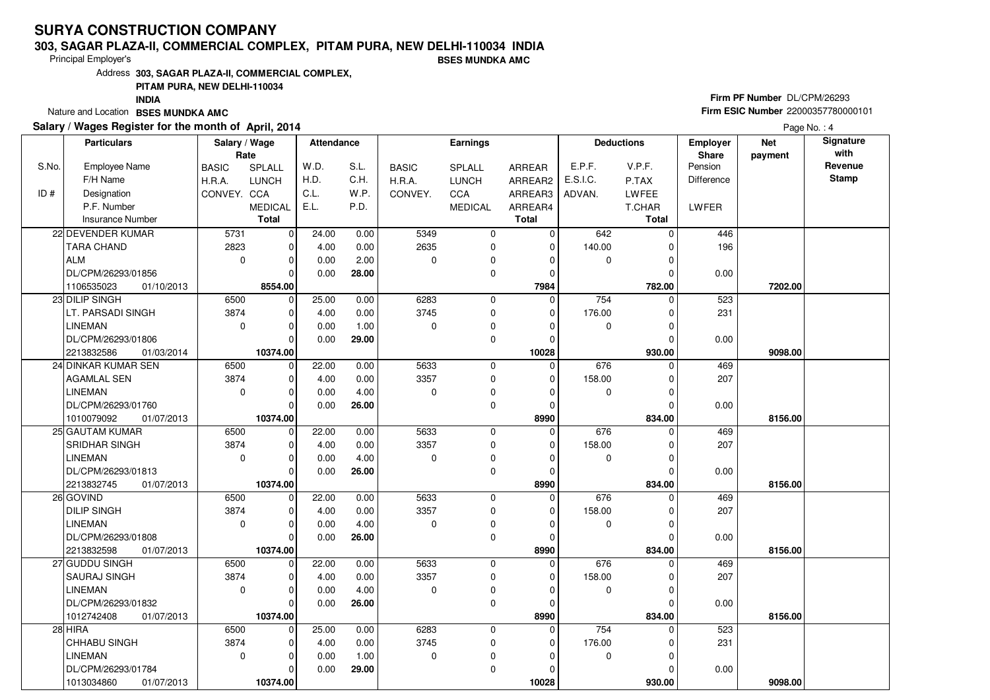#### **303, SAGAR PLAZA-II, COMMERCIAL COMPLEX, PITAM PURA, NEW DELHI-110034 INDIABSES MUNDKA AMC**

Principal Employer's

Address**303, SAGAR PLAZA-II, COMMERCIAL COMPLEX,**

**PITAM PURA, NEW DELHI-110034**

**INDIA**

Nature and Location **BSES MUNDKA AMC** 

### **Salary / Wages Register for the month of April, 2014**

# **Firm PF Number** DL/CPM/26293 **Firm ESIC Number** <sup>22000357780000101</sup>

|       | <b>Particulars</b>       | Salary / Wage<br>Rate |                | <b>Attendance</b> |       |              | Earnings       |               |             | <b>Deductions</b> | Employer<br>Share | <b>Net</b><br>payment | Signature<br>with |
|-------|--------------------------|-----------------------|----------------|-------------------|-------|--------------|----------------|---------------|-------------|-------------------|-------------------|-----------------------|-------------------|
| S.No. | <b>Employee Name</b>     | <b>BASIC</b>          | SPLALL         | W.D.              | S.L.  | <b>BASIC</b> | SPLALL         | <b>ARREAR</b> | E.P.F.      | V.P.F.            | Pension           |                       | Revenue           |
|       | F/H Name                 | H.R.A.                | <b>LUNCH</b>   | H.D.              | C.H.  | H.R.A.       | <b>LUNCH</b>   | ARREAR2       | E.S.I.C.    | P.TAX             | <b>Difference</b> |                       | <b>Stamp</b>      |
| ID#   | Designation              | CONVEY. CCA           |                | C.L.              | W.P.  | CONVEY.      | CCA            | ARREAR3       | ADVAN.      | <b>LWFEE</b>      |                   |                       |                   |
|       | P.F. Number              |                       | <b>MEDICAL</b> | E.L.              | P.D.  |              | <b>MEDICAL</b> | ARREAR4       |             | T.CHAR            | LWFER             |                       |                   |
|       | <b>Insurance Number</b>  |                       | <b>Total</b>   |                   |       |              |                | <b>Total</b>  |             | <b>Total</b>      |                   |                       |                   |
|       | 22 DEVENDER KUMAR        | 5731                  | $\mathbf 0$    | 24.00             | 0.00  | 5349         | $\mathbf 0$    | $\mathbf 0$   | 642         | $\Omega$          | 446               |                       |                   |
|       | <b>TARA CHAND</b>        | 2823                  | 0              | 4.00              | 0.00  | 2635         | $\mathbf 0$    | $\mathbf 0$   | 140.00      | $\Omega$          | 196               |                       |                   |
|       | <b>ALM</b>               | $\mathbf 0$           | $\mathbf 0$    | 0.00              | 2.00  | 0            | 0              | $\Omega$      | $\mathbf 0$ | $\Omega$          |                   |                       |                   |
|       | DL/CPM/26293/01856       |                       | $\Omega$       | 0.00              | 28.00 |              | 0              | $\Omega$      |             | O                 | 0.00              |                       |                   |
|       | 1106535023<br>01/10/2013 |                       | 8554.00        |                   |       |              |                | 7984          |             | 782.00            |                   | 7202.00               |                   |
|       | 23 DILIP SINGH           | 6500                  | $\mathbf 0$    | 25.00             | 0.00  | 6283         | $\mathbf 0$    | $\mathbf 0$   | 754         | $\Omega$          | 523               |                       |                   |
|       | LT. PARSADI SINGH        | 3874                  | $\mathbf 0$    | 4.00              | 0.00  | 3745         | 0              | $\mathbf 0$   | 176.00      | O                 | 231               |                       |                   |
|       | <b>LINEMAN</b>           | $\Omega$              | $\mathbf 0$    | 0.00              | 1.00  | 0            | 0              | $\Omega$      | $\mathbf 0$ | $\Omega$          |                   |                       |                   |
|       | DL/CPM/26293/01806       |                       | $\mathbf 0$    | 0.00              | 29.00 |              | 0              | $\mathbf 0$   |             | $\Omega$          | 0.00              |                       |                   |
|       | 2213832586<br>01/03/2014 |                       | 10374.00       |                   |       |              |                | 10028         |             | 930.00            |                   | 9098.00               |                   |
|       | 24 DINKAR KUMAR SEN      | 6500                  | 0              | 22.00             | 0.00  | 5633         | $\mathbf 0$    | $\mathbf 0$   | 676         | $\Omega$          | 469               |                       |                   |
|       | <b>AGAMLAL SEN</b>       | 3874                  | $\mathbf 0$    | 4.00              | 0.00  | 3357         | 0              | $\Omega$      | 158.00      | O                 | 207               |                       |                   |
|       | <b>LINEMAN</b>           | 0                     | $\mathbf 0$    | 0.00              | 4.00  | 0            | 0              | $\Omega$      | $\mathbf 0$ | $\Omega$          |                   |                       |                   |
|       | DL/CPM/26293/01760       |                       | $\mathbf 0$    | 0.00              | 26.00 |              | $\mathbf 0$    | $\mathbf 0$   |             | $\mathcal{C}$     | 0.00              |                       |                   |
|       | 1010079092<br>01/07/2013 |                       | 10374.00       |                   |       |              |                | 8990          |             | 834.00            |                   | 8156.00               |                   |
|       | 25 GAUTAM KUMAR          | 6500                  | $\mathbf 0$    | 22.00             | 0.00  | 5633         | $\mathbf 0$    | $\mathbf 0$   | 676         | $\Omega$          | 469               |                       |                   |
|       | SRIDHAR SINGH            | 3874                  | $\mathbf 0$    | 4.00              | 0.00  | 3357         | 0              | $\Omega$      | 158.00      | C                 | 207               |                       |                   |
|       | <b>LINEMAN</b>           | $\Omega$              | $\mathbf 0$    | 0.00              | 4.00  | 0            | 0              | $\Omega$      | $\mathbf 0$ | $\Omega$          |                   |                       |                   |
|       | DL/CPM/26293/01813       |                       | $\Omega$       | 0.00              | 26.00 |              | 0              | $\Omega$      |             | $\sqrt{ }$        | 0.00              |                       |                   |
|       | 2213832745<br>01/07/2013 |                       | 10374.00       |                   |       |              |                | 8990          |             | 834.00            |                   | 8156.00               |                   |
|       | 26 GOVIND                | 6500                  | $\mathbf 0$    | 22.00             | 0.00  | 5633         | $\mathbf 0$    | $\mathbf 0$   | 676         |                   | 469               |                       |                   |
|       | <b>DILIP SINGH</b>       | 3874                  | $\mathbf 0$    | 4.00              | 0.00  | 3357         | 0              | $\Omega$      | 158.00      |                   | 207               |                       |                   |
|       | <b>LINEMAN</b>           | $\Omega$              | $\mathbf 0$    | 0.00              | 4.00  | 0            | 0              | $\Omega$      | $\mathbf 0$ | $\Omega$          |                   |                       |                   |
|       | DL/CPM/26293/01808       |                       | $\mathbf 0$    | 0.00              | 26.00 |              | 0              | $\Omega$      |             | $\mathcal{C}$     | 0.00              |                       |                   |
|       | 2213832598<br>01/07/2013 |                       | 10374.00       |                   |       |              |                | 8990          |             | 834.00            |                   | 8156.00               |                   |
|       | 27 GUDDU SINGH           | 6500                  | $\mathbf 0$    | 22.00             | 0.00  | 5633         | $\mathbf 0$    | $\mathbf 0$   | 676         | $\Omega$          | 469               |                       |                   |
|       | <b>SAURAJ SINGH</b>      | 3874                  | $\mathbf 0$    | 4.00              | 0.00  | 3357         | 0              | $\mathbf 0$   | 158.00      | $\Omega$          | 207               |                       |                   |
|       | <b>LINEMAN</b>           | $\mathbf 0$           | $\mathbf 0$    | 0.00              | 4.00  | $\mathbf 0$  | 0              | $\Omega$      | $\mathbf 0$ | O                 |                   |                       |                   |
|       | DL/CPM/26293/01832       |                       | $\Omega$       | 0.00              | 26.00 |              | $\mathbf 0$    | $\Omega$      |             | $\Omega$          | 0.00              |                       |                   |
|       | 1012742408<br>01/07/2013 |                       | 10374.00       |                   |       |              |                | 8990          |             | 834.00            |                   | 8156.00               |                   |
|       | 28 HIRA                  | 6500                  | $\mathbf 0$    | 25.00             | 0.00  | 6283         | $\mathbf 0$    | $\mathbf 0$   | 754         |                   | 523               |                       |                   |
|       | <b>CHHABU SINGH</b>      | 3874                  | $\mathbf 0$    | 4.00              | 0.00  | 3745         | 0              | $\mathbf 0$   | 176.00      |                   | 231               |                       |                   |
|       | <b>LINEMAN</b>           | $\mathbf 0$           | $\mathbf 0$    | 0.00              | 1.00  | 0            | 0              | $\Omega$      | $\mathbf 0$ | $\Omega$          |                   |                       |                   |
|       | DL/CPM/26293/01784       |                       | $\mathbf 0$    | 0.00              | 29.00 |              | 0              | $\mathbf 0$   |             | $\Omega$          | 0.00              |                       |                   |
|       | 1013034860<br>01/07/2013 |                       | 10374.00       |                   |       |              |                | 10028         |             | 930.00            |                   | 9098.00               |                   |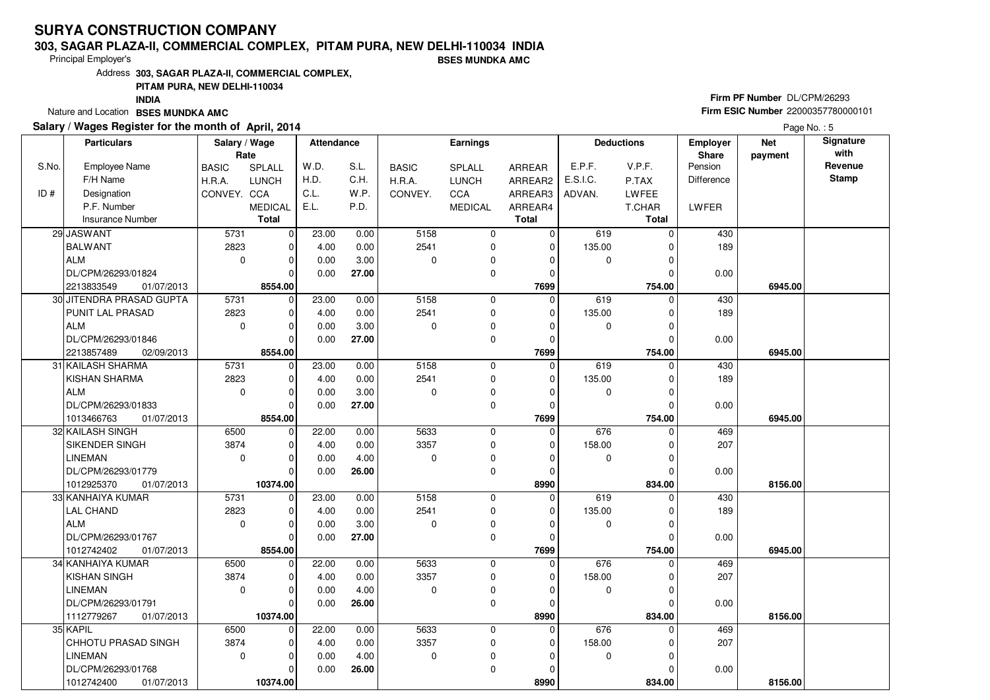#### **303, SAGAR PLAZA-II, COMMERCIAL COMPLEX, PITAM PURA, NEW DELHI-110034 INDIABSES MUNDKA AMC**

Principal Employer's

Address**303, SAGAR PLAZA-II, COMMERCIAL COMPLEX,**

### **PITAM PURA, NEW DELHI-110034**

**INDIA**

Nature and Location **BSES MUNDKA AMC** 

### **Salary / Wages Register for the month of April, 2014**

# **Firm PF Number** DL/CPM/26293 **Firm ESIC Number** <sup>22000357780000101</sup>

|       | <b>Particulars</b>       | Salary / Wage<br>Rate |                | Attendance |       |              | <b>Earnings</b> |              |          | <b>Deductions</b> | <b>Employer</b><br>Share | <b>Net</b><br>payment | Signature<br>with |
|-------|--------------------------|-----------------------|----------------|------------|-------|--------------|-----------------|--------------|----------|-------------------|--------------------------|-----------------------|-------------------|
| S.No. | <b>Employee Name</b>     | <b>BASIC</b>          | SPLALL         | W.D.       | S.L.  | <b>BASIC</b> | <b>SPLALL</b>   | ARREAR       | E.P.F.   | V.P.F.            | Pension                  |                       | Revenue           |
|       | F/H Name                 | H.R.A.                | <b>LUNCH</b>   | H.D.       | C.H.  | H.R.A.       | <b>LUNCH</b>    | ARREAR2      | E.S.I.C. | P.TAX             | <b>Difference</b>        |                       | <b>Stamp</b>      |
| ID#   | Designation              | CONVEY. CCA           |                | C.L.       | W.P.  | CONVEY.      | CCA             | ARREAR3      | ADVAN.   | LWFEE             |                          |                       |                   |
|       | P.F. Number              |                       | <b>MEDICAL</b> | E.L.       | P.D.  |              | <b>MEDICAL</b>  | ARREAR4      |          | T.CHAR            | <b>LWFER</b>             |                       |                   |
|       | <b>Insurance Number</b>  |                       | <b>Total</b>   |            |       |              |                 | <b>Total</b> |          | <b>Total</b>      |                          |                       |                   |
|       | 29 JASWANT               | 5731                  | $\mathbf 0$    | 23.00      | 0.00  | 5158         | $\mathbf 0$     | 0            | 619      | $\Omega$          | 430                      |                       |                   |
|       | <b>BALWANT</b>           | 2823                  | $\mathbf 0$    | 4.00       | 0.00  | 2541         | 0               | $\mathbf 0$  | 135.00   |                   | 189                      |                       |                   |
|       | ALM                      | $\mathbf 0$           | $\mathbf 0$    | 0.00       | 3.00  | $\Omega$     | $\mathbf 0$     | 0            | 0        |                   |                          |                       |                   |
|       | DL/CPM/26293/01824       |                       | $\Omega$       | 0.00       | 27.00 |              | 0               | 0            |          |                   | 0.00                     |                       |                   |
|       | 01/07/2013<br>2213833549 |                       | 8554.00        |            |       |              |                 | 7699         |          | 754.00            |                          | 6945.00               |                   |
|       | 30 JITENDRA PRASAD GUPTA | 5731                  | $\mathbf 0$    | 23.00      | 0.00  | 5158         | 0               | $\Omega$     | 619      | 0                 | 430                      |                       |                   |
|       | PUNIT LAL PRASAD         | 2823                  | $\mathbf 0$    | 4.00       | 0.00  | 2541         | $\mathbf 0$     | $\mathbf 0$  | 135.00   | $\Omega$          | 189                      |                       |                   |
|       | ALM                      | $\mathbf 0$           | $\mathbf 0$    | 0.00       | 3.00  | $\mathbf 0$  | 0               | $\Omega$     | 0        | O                 |                          |                       |                   |
|       | DL/CPM/26293/01846       |                       | $\Omega$       | 0.00       | 27.00 |              | $\mathbf 0$     | $\mathbf 0$  |          | $\Omega$          | 0.00                     |                       |                   |
|       | 2213857489<br>02/09/2013 |                       | 8554.00        |            |       |              |                 | 7699         |          | 754.00            |                          | 6945.00               |                   |
|       | 31 KAILASH SHARMA        | 5731                  | $\mathbf 0$    | 23.00      | 0.00  | 5158         | $\mathbf 0$     | $\mathbf 0$  | 619      | $\Omega$          | 430                      |                       |                   |
|       | KISHAN SHARMA            | 2823                  | $\mathbf 0$    | 4.00       | 0.00  | 2541         | $\mathbf 0$     | 0            | 135.00   | 0                 | 189                      |                       |                   |
|       | ALM                      | $\mathbf 0$           | $\mathbf 0$    | 0.00       | 3.00  | $\Omega$     | 0               | $\Omega$     | 0        | $\Omega$          |                          |                       |                   |
|       | DL/CPM/26293/01833       |                       | $\Omega$       | 0.00       | 27.00 |              | 0               | 0            |          |                   | 0.00                     |                       |                   |
|       | 1013466763<br>01/07/2013 |                       | 8554.00        |            |       |              |                 | 7699         |          | 754.00            |                          | 6945.00               |                   |
|       | 32 KAILASH SINGH         | 6500                  | $\overline{0}$ | 22.00      | 0.00  | 5633         | 0               | $\mathbf 0$  | 676      | $\mathbf 0$       | 469                      |                       |                   |
|       | SIKENDER SINGH           | 3874                  | $\mathbf 0$    | 4.00       | 0.00  | 3357         | $\mathbf 0$     | $\mathbf 0$  | 158.00   |                   | 207                      |                       |                   |
|       | <b>LINEMAN</b>           | $\mathbf 0$           | $\mathbf 0$    | 0.00       | 4.00  | $\Omega$     | 0               | $\Omega$     | 0        | O                 |                          |                       |                   |
|       | DL/CPM/26293/01779       |                       | $\Omega$       | 0.00       | 26.00 |              | $\Omega$        | $\mathbf 0$  |          |                   | 0.00                     |                       |                   |
|       | 1012925370<br>01/07/2013 |                       | 10374.00       |            |       |              |                 | 8990         |          | 834.00            |                          | 8156.00               |                   |
|       | 33 KANHAIYA KUMAR        | 5731                  | $\mathbf 0$    | 23.00      | 0.00  | 5158         | $\mathbf 0$     | 0            | 619      |                   | 430                      |                       |                   |
|       | <b>LAL CHAND</b>         | 2823                  | $\Omega$       | 4.00       | 0.00  | 2541         | 0               | 0            | 135.00   |                   | 189                      |                       |                   |
|       | <b>ALM</b>               | $\mathbf 0$           | $\mathbf 0$    | 0.00       | 3.00  | $\Omega$     | $\mathbf 0$     | $\Omega$     | 0        | $\Omega$          |                          |                       |                   |
|       | DL/CPM/26293/01767       |                       | $\mathbf 0$    | 0.00       | 27.00 |              | 0               | 0            |          |                   | 0.00                     |                       |                   |
|       | 1012742402<br>01/07/2013 |                       | 8554.00        |            |       |              |                 | 7699         |          | 754.00            |                          | 6945.00               |                   |
|       | 34 KANHAIYA KUMAR        | 6500                  | $\mathbf 0$    | 22.00      | 0.00  | 5633         | 0               | $\mathbf 0$  | 676      | $\Omega$          | 469                      |                       |                   |
|       | KISHAN SINGH             | 3874                  | $\mathbf 0$    | 4.00       | 0.00  | 3357         | $\mathbf 0$     | $\Omega$     | 158.00   | $\Omega$          | 207                      |                       |                   |
|       | <b>LINEMAN</b>           | $\mathbf 0$           | $\mathbf 0$    | 0.00       | 4.00  | $\mathbf 0$  | 0               | $\Omega$     | 0        |                   |                          |                       |                   |
|       | DL/CPM/26293/01791       |                       | $\Omega$       | 0.00       | 26.00 |              | $\mathbf 0$     | $\Omega$     |          |                   | 0.00                     |                       |                   |
|       | 1112779267<br>01/07/2013 |                       | 10374.00       |            |       |              |                 | 8990         |          | 834.00            |                          | 8156.00               |                   |
|       | 35 KAPIL                 | 6500                  | $\mathbf 0$    | 22.00      | 0.00  | 5633         | $\mathbf 0$     | 0            | 676      | 0                 | 469                      |                       |                   |
|       | CHHOTU PRASAD SINGH      | 3874                  | $\Omega$       | 4.00       | 0.00  | 3357         | 0               | $\Omega$     | 158.00   |                   | 207                      |                       |                   |
|       | <b>LINEMAN</b>           | $\mathbf 0$           | $\mathbf 0$    | 0.00       | 4.00  | $\mathbf 0$  | 0               | $\Omega$     | 0        | $\Omega$          |                          |                       |                   |
|       | DL/CPM/26293/01768       |                       | 0              | 0.00       | 26.00 |              | 0               | $\Omega$     |          |                   | 0.00                     |                       |                   |
|       | 1012742400<br>01/07/2013 |                       | 10374.00       |            |       |              |                 | 8990         |          | 834.00            |                          | 8156.00               |                   |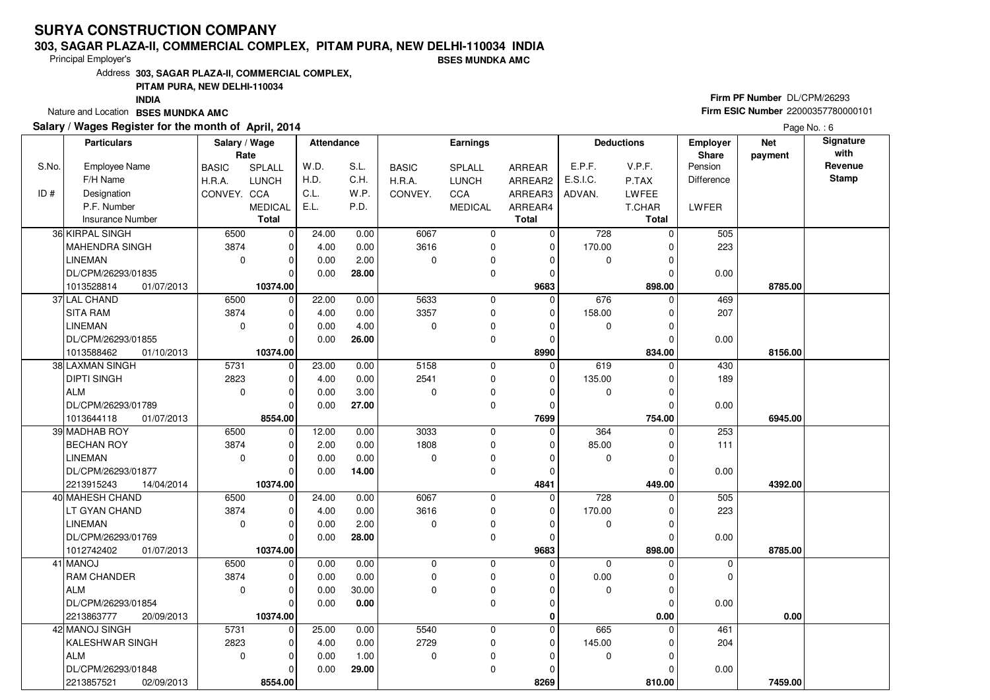#### **303, SAGAR PLAZA-II, COMMERCIAL COMPLEX, PITAM PURA, NEW DELHI-110034 INDIABSES MUNDKA AMC**

Principal Employer's

Address**303, SAGAR PLAZA-II, COMMERCIAL COMPLEX,**

**PITAM PURA, NEW DELHI-110034**

**INDIA**

Nature and Location **BSES MUNDKA AMC** 

### **Salary / Wages Register for the month of April, 2014**

# **Firm PF Number** DL/CPM/26293 **Firm ESIC Number** <sup>22000357780000101</sup>

|       | <b>Particulars</b>       | Salary / Wage |                | <b>Attendance</b> |       |              | Earnings       |               |             | <b>Deductions</b> | Employer          | <b>Net</b> | Signature    |
|-------|--------------------------|---------------|----------------|-------------------|-------|--------------|----------------|---------------|-------------|-------------------|-------------------|------------|--------------|
|       |                          | Rate          |                |                   |       |              |                |               |             |                   | Share             | payment    | with         |
| S.No. | <b>Employee Name</b>     | <b>BASIC</b>  | SPLALL         | W.D.              | S.L.  | <b>BASIC</b> | <b>SPLALL</b>  | <b>ARREAR</b> | E.P.F.      | V.P.F.            | Pension           |            | Revenue      |
|       | F/H Name                 | H.R.A.        | <b>LUNCH</b>   | H.D.              | C.H.  | H.R.A.       | <b>LUNCH</b>   | ARREAR2       | E.S.I.C.    | P.TAX             | <b>Difference</b> |            | <b>Stamp</b> |
| ID#   | Designation              | CONVEY. CCA   |                | C.L.              | W.P.  | CONVEY.      | CCA            | ARREAR3       | ADVAN.      | LWFEE             |                   |            |              |
|       | P.F. Number              |               | <b>MEDICAL</b> | E.L.              | P.D.  |              | <b>MEDICAL</b> | ARREAR4       |             | T.CHAR            | LWFER             |            |              |
|       | <b>Insurance Number</b>  |               | <b>Total</b>   |                   |       |              |                | <b>Total</b>  |             | <b>Total</b>      |                   |            |              |
|       | 36 KIRPAL SINGH          | 6500          | $\overline{0}$ | 24.00             | 0.00  | 6067         | $\mathbf 0$    | 0             | 728         | $\Omega$          | 505               |            |              |
|       | MAHENDRA SINGH           | 3874          | $\mathbf 0$    | 4.00              | 0.00  | 3616         | 0              | $\mathbf 0$   | 170.00      | 0                 | 223               |            |              |
|       | <b>LINEMAN</b>           | $\mathbf 0$   | $\overline{0}$ | 0.00              | 2.00  | $\mathbf 0$  | $\pmb{0}$      | 0             | 0           | 0                 |                   |            |              |
|       | DL/CPM/26293/01835       |               | 0              | 0.00              | 28.00 |              | $\mathbf 0$    | 0             |             | $\Omega$          | 0.00              |            |              |
|       | 1013528814<br>01/07/2013 |               | 10374.00       |                   |       |              |                | 9683          |             | 898.00            |                   | 8785.00    |              |
|       | 37 LAL CHAND             | 6500          | $\mathbf 0$    | 22.00             | 0.00  | 5633         | 0              | $\mathbf 0$   | 676         | 0                 | 469               |            |              |
|       | <b>SITA RAM</b>          | 3874          | $\mathbf 0$    | 4.00              | 0.00  | 3357         | 0              | 0             | 158.00      | 0                 | 207               |            |              |
|       | <b>LINEMAN</b>           | $\mathbf 0$   | 0              | 0.00              | 4.00  | $\mathbf 0$  | $\mathbf 0$    | 0             | 0           | $\mathbf 0$       |                   |            |              |
|       | DL/CPM/26293/01855       |               | 0              | 0.00              | 26.00 |              | 0              | 0             |             | 0                 | 0.00              |            |              |
|       | 1013588462<br>01/10/2013 |               | 10374.00       |                   |       |              |                | 8990          |             | 834.00            |                   | 8156.00    |              |
|       | 38 LAXMAN SINGH          | 5731          | $\mathbf 0$    | 23.00             | 0.00  | 5158         | $\mathbf 0$    | $\mathbf 0$   | 619         | $\Omega$          | 430               |            |              |
|       | <b>DIPTI SINGH</b>       | 2823          | $\overline{0}$ | 4.00              | 0.00  | 2541         | 0              | 0             | 135.00      | 0                 | 189               |            |              |
|       | <b>ALM</b>               | $\mathbf 0$   | 0              | 0.00              | 3.00  | $\mathbf 0$  | $\mathbf 0$    | 0             | 0           | $\mathbf 0$       |                   |            |              |
|       | DL/CPM/26293/01789       |               | 0              | 0.00              | 27.00 |              | $\mathbf 0$    | 0             |             | $\Omega$          | 0.00              |            |              |
|       | 1013644118<br>01/07/2013 |               | 8554.00        |                   |       |              |                | 7699          |             | 754.00            |                   | 6945.00    |              |
|       | 39 MADHAB ROY            | 6500          | $\overline{0}$ | 12.00             | 0.00  | 3033         | $\mathbf 0$    | $\mathbf 0$   | 364         | $\mathbf 0$       | 253               |            |              |
|       | <b>BECHAN ROY</b>        | 3874          | $\mathbf 0$    | 2.00              | 0.00  | 1808         | $\mathbf 0$    | 0             | 85.00       | $\Omega$          | 111               |            |              |
|       | <b>LINEMAN</b>           | $\mathbf 0$   | 0              | 0.00              | 0.00  | $\mathbf 0$  | 0              | 0             | 0           | 0                 |                   |            |              |
|       | DL/CPM/26293/01877       |               | 0              | 0.00              | 14.00 |              | $\mathbf 0$    | 0             |             | $\Omega$          | 0.00              |            |              |
|       | 2213915243<br>14/04/2014 |               | 10374.00       |                   |       |              |                | 4841          |             | 449.00            |                   | 4392.00    |              |
|       | 40 MAHESH CHAND          | 6500          | $\mathbf 0$    | 24.00             | 0.00  | 6067         | 0              | 0             | 728         | 0                 | 505               |            |              |
|       | LT GYAN CHAND            | 3874          | 0              | 4.00              | 0.00  | 3616         | 0              | 0             | 170.00      | 0                 | 223               |            |              |
|       | <b>LINEMAN</b>           | $\mathbf 0$   | 0              | 0.00              | 2.00  | $\mathbf 0$  | $\mathbf 0$    | 0             | $\mathbf 0$ | $\Omega$          |                   |            |              |
|       | DL/CPM/26293/01769       |               | 0              | 0.00              | 28.00 |              | 0              | 0             |             | $\Omega$          | 0.00              |            |              |
|       | 1012742402<br>01/07/2013 |               | 10374.00       |                   |       |              |                | 9683          |             | 898.00            |                   | 8785.00    |              |
|       | 41 MANOJ                 | 6500          | $\overline{0}$ | 0.00              | 0.00  | $\pmb{0}$    | $\mathbf 0$    | $\mathbf 0$   | $\mathbf 0$ | $\mathbf 0$       | $\mathbf 0$       |            |              |
|       | RAM CHANDER              | 3874          | 0              | 0.00              | 0.00  | $\mathbf 0$  | 0              | 0             | 0.00        | 0                 | $\mathbf 0$       |            |              |
|       | <b>ALM</b>               | $\mathbf 0$   | 0              | 0.00              | 30.00 | $\mathbf 0$  | 0              | 0             | $\mathbf 0$ | $\mathbf 0$       |                   |            |              |
|       | DL/CPM/26293/01854       |               | 0              | 0.00              | 0.00  |              | $\mathbf 0$    | 0             |             | $\Omega$          | 0.00              |            |              |
|       | 2213863777<br>20/09/2013 |               | 10374.00       |                   |       |              |                | 0             |             | 0.00              |                   | 0.00       |              |
|       | 42 MANOJ SINGH           | 5731          | $\mathbf 0$    | 25.00             | 0.00  | 5540         | $\mathbf 0$    | $\mathbf 0$   | 665         | $\Omega$          | 461               |            |              |
|       | KALESHWAR SINGH          | 2823          | 0              | 4.00              | 0.00  | 2729         | 0              | $\mathbf 0$   | 145.00      | 0                 | 204               |            |              |
|       | <b>ALM</b>               | $\mathbf 0$   | 0              | 0.00              | 1.00  | $\mathbf 0$  | $\pmb{0}$      | 0             | $\mathbf 0$ | $\Omega$          |                   |            |              |
|       | DL/CPM/26293/01848       |               | 0              | 0.00              | 29.00 |              | $\mathbf 0$    | 0             |             | $\Omega$          | 0.00              |            |              |
|       | 2213857521<br>02/09/2013 |               | 8554.00        |                   |       |              |                | 8269          |             | 810.00            |                   | 7459.00    |              |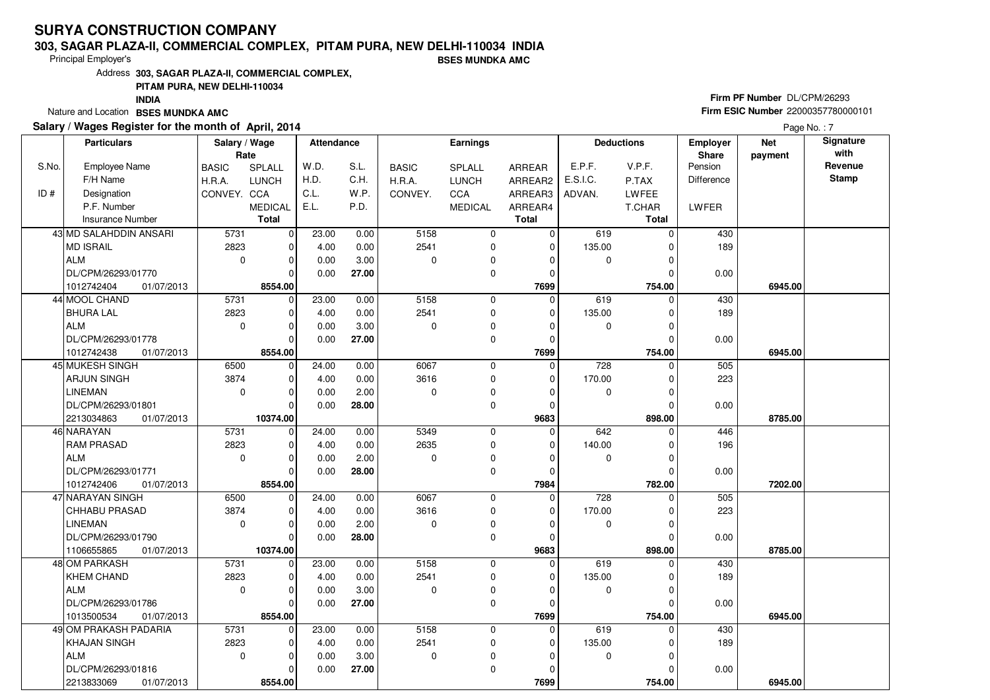#### **303, SAGAR PLAZA-II, COMMERCIAL COMPLEX, PITAM PURA, NEW DELHI-110034 INDIA**

Principal Employer's

**BSES MUNDKA AMC**

Address**303, SAGAR PLAZA-II, COMMERCIAL COMPLEX,**

### **PITAM PURA, NEW DELHI-110034**

**INDIA**

Nature and Location **BSES MUNDKA AMC** 

### **Salary / Wages Register for the month of April, 2014**

# **Firm PF Number** DL/CPM/26293 **Firm ESIC Number** <sup>22000357780000101</sup>

|       | <b>Particulars</b>       | Salary / Wage<br>Rate |                | <b>Attendance</b> |       |              | <b>Earnings</b> |               |                  | <b>Deductions</b> | Employer<br><b>Share</b> | <b>Net</b><br>payment | Signature<br>with |
|-------|--------------------------|-----------------------|----------------|-------------------|-------|--------------|-----------------|---------------|------------------|-------------------|--------------------------|-----------------------|-------------------|
| S.No. | <b>Employee Name</b>     | <b>BASIC</b>          | SPLALL         | W.D.              | S.L.  | <b>BASIC</b> | <b>SPLALL</b>   | <b>ARREAR</b> | E.P.F.           | V.P.F.            | Pension                  |                       | Revenue           |
|       | F/H Name                 | H.R.A.                | <b>LUNCH</b>   | H.D.              | C.H.  | H.R.A.       | <b>LUNCH</b>    | ARREAR2       | E.S.I.C.         | P.TAX             | <b>Difference</b>        |                       | Stamp             |
| ID#   | Designation              | CONVEY. CCA           |                | C.L.              | W.P.  | CONVEY.      | <b>CCA</b>      | ARREAR3       | ADVAN.           | <b>LWFEE</b>      |                          |                       |                   |
|       | P.F. Number              |                       | <b>MEDICAL</b> | E.L.              | P.D.  |              | <b>MEDICAL</b>  | ARREAR4       |                  | T.CHAR            | LWFER                    |                       |                   |
|       | <b>Insurance Number</b>  |                       | <b>Total</b>   |                   |       |              |                 | <b>Total</b>  |                  | <b>Total</b>      |                          |                       |                   |
|       | 43 MD SALAHDDIN ANSARI   | 5731                  | $\mathbf 0$    | 23.00             | 0.00  | 5158         | 0               | $\mathbf 0$   | 619              | $\Omega$          | 430                      |                       |                   |
|       | MD ISRAIL                | 2823                  | $\mathbf 0$    | 4.00              | 0.00  | 2541         | $\mathbf 0$     | 0             | 135.00           | O                 | 189                      |                       |                   |
|       | ALM                      | $\mathbf 0$           | $\mathbf 0$    | 0.00              | 3.00  | $\Omega$     | 0               | $\Omega$      | 0                | $\Omega$          |                          |                       |                   |
|       | DL/CPM/26293/01770       |                       | $\Omega$       | 0.00              | 27.00 |              | $\mathbf 0$     | $\mathbf 0$   |                  | $\Omega$          | 0.00                     |                       |                   |
|       | 1012742404<br>01/07/2013 |                       | 8554.00        |                   |       |              |                 | 7699          |                  | 754.00            |                          | 6945.00               |                   |
|       | 44 MOOL CHAND            | 5731                  | $\mathbf 0$    | 23.00             | 0.00  | 5158         | 0               | 0             | 619              | $\Omega$          | 430                      |                       |                   |
|       | <b>BHURA LAL</b>         | 2823                  | $\mathbf 0$    | 4.00              | 0.00  | 2541         | 0               | $\mathbf 0$   | 135.00           | $\Omega$          | 189                      |                       |                   |
|       | ALM                      | $\mathbf 0$           | $\Omega$       | 0.00              | 3.00  | $\Omega$     | 0               | $\Omega$      | 0                | $\Omega$          |                          |                       |                   |
|       | DL/CPM/26293/01778       |                       | $\Omega$       | 0.00              | 27.00 |              | $\mathbf 0$     | $\mathbf 0$   |                  | 0                 | 0.00                     |                       |                   |
|       | 1012742438<br>01/07/2013 |                       | 8554.00        |                   |       |              |                 | 7699          |                  | 754.00            |                          | 6945.00               |                   |
|       | 45 MUKESH SINGH          | 6500                  | $\mathbf 0$    | 24.00             | 0.00  | 6067         | 0               | $\mathbf 0$   | 728              | $\Omega$          | 505                      |                       |                   |
|       | ARJUN SINGH              | 3874                  | $\mathbf 0$    | 4.00              | 0.00  | 3616         | $\mathbf 0$     | $\mathbf 0$   | 170.00           | 0                 | 223                      |                       |                   |
|       | <b>LINEMAN</b>           | $\mathbf 0$           | $\mathbf 0$    | 0.00              | 2.00  | $\Omega$     | 0               | $\Omega$      | 0                | $\Omega$          |                          |                       |                   |
|       | DL/CPM/26293/01801       |                       | $\Omega$       | 0.00              | 28.00 |              | 0               | $\Omega$      |                  | 0                 | 0.00                     |                       |                   |
|       | 2213034863<br>01/07/2013 |                       | 10374.00       |                   |       |              |                 | 9683          |                  | 898.00            |                          | 8785.00               |                   |
|       | 46 NARAYAN               | 5731                  | 0              | 24.00             | 0.00  | 5349         | $\mathbf 0$     | $\Omega$      | 642              | $\Omega$          | 446                      |                       |                   |
|       | <b>RAM PRASAD</b>        | 2823                  | $\mathbf 0$    | 4.00              | 0.00  | 2635         | 0               | 0             | 140.00           |                   | 196                      |                       |                   |
|       | ALM                      | $\mathbf 0$           | $\Omega$       | 0.00              | 2.00  | $\Omega$     | $\mathbf 0$     | $\Omega$      | 0                | $\Omega$          |                          |                       |                   |
|       | DL/CPM/26293/01771       |                       | $\Omega$       | 0.00              | 28.00 |              | $\Omega$        | 0             |                  | O                 | 0.00                     |                       |                   |
|       | 1012742406<br>01/07/2013 |                       | 8554.00        |                   |       |              |                 | 7984          |                  | 782.00            |                          | 7202.00               |                   |
|       | 47 NARAYAN SINGH         | 6500                  | $\mathbf 0$    | 24.00             | 0.00  | 6067         | $\mathbf 0$     | 0             | $\overline{728}$ |                   | 505                      |                       |                   |
|       | <b>CHHABU PRASAD</b>     | 3874                  | $\Omega$       | 4.00              | 0.00  | 3616         | 0               | $\Omega$      | 170.00           |                   | 223                      |                       |                   |
|       | <b>LINEMAN</b>           | $\mathbf 0$           | $\mathbf 0$    | 0.00              | 2.00  | $\Omega$     | 0               | $\mathbf 0$   | 0                | $\Omega$          |                          |                       |                   |
|       | DL/CPM/26293/01790       |                       | $\Omega$       | 0.00              | 28.00 |              | $\mathbf 0$     | $\mathbf 0$   |                  |                   | 0.00                     |                       |                   |
|       | 1106655865<br>01/07/2013 |                       | 10374.00       |                   |       |              |                 | 9683          |                  | 898.00            |                          | 8785.00               |                   |
|       | 48 OM PARKASH            | 5731                  | $\mathbf 0$    | 23.00             | 0.00  | 5158         | $\mathbf 0$     | 0             | 619              | $\Omega$          | 430                      |                       |                   |
|       | <b>KHEM CHAND</b>        | 2823                  | $\Omega$       | 4.00              | 0.00  | 2541         | 0               | $\Omega$      | 135.00           |                   | 189                      |                       |                   |
|       | <b>ALM</b>               | $\mathbf 0$           | $\Omega$       | 0.00              | 3.00  | $\Omega$     | $\pmb{0}$       | $\Omega$      | 0                | $\Omega$          |                          |                       |                   |
|       | DL/CPM/26293/01786       |                       | $\Omega$       | 0.00              | 27.00 |              | $\mathbf 0$     | 0             |                  |                   | 0.00                     |                       |                   |
|       | 1013500534<br>01/07/2013 |                       | 8554.00        |                   |       |              |                 | 7699          |                  | 754.00            |                          | 6945.00               |                   |
|       | 49 OM PRAKASH PADARIA    | 5731                  | $\mathbf 0$    | 23.00             | 0.00  | 5158         | $\mathbf 0$     | 0             | 619              | $\Omega$          | 430                      |                       |                   |
|       | KHAJAN SINGH             | 2823                  | $\mathbf 0$    | 4.00              | 0.00  | 2541         | $\mathbf 0$     | $\mathbf 0$   | 135.00           |                   | 189                      |                       |                   |
|       | ALM                      | $\Omega$              | $\mathbf 0$    | 0.00              | 3.00  | $\Omega$     | 0               | $\Omega$      | 0                |                   |                          |                       |                   |
|       | DL/CPM/26293/01816       |                       | $\Omega$       | 0.00              | 27.00 |              | $\mathbf 0$     | $\Omega$      |                  |                   | 0.00                     |                       |                   |
|       | 2213833069<br>01/07/2013 |                       | 8554.00        |                   |       |              |                 | 7699          |                  | 754.00            |                          | 6945.00               |                   |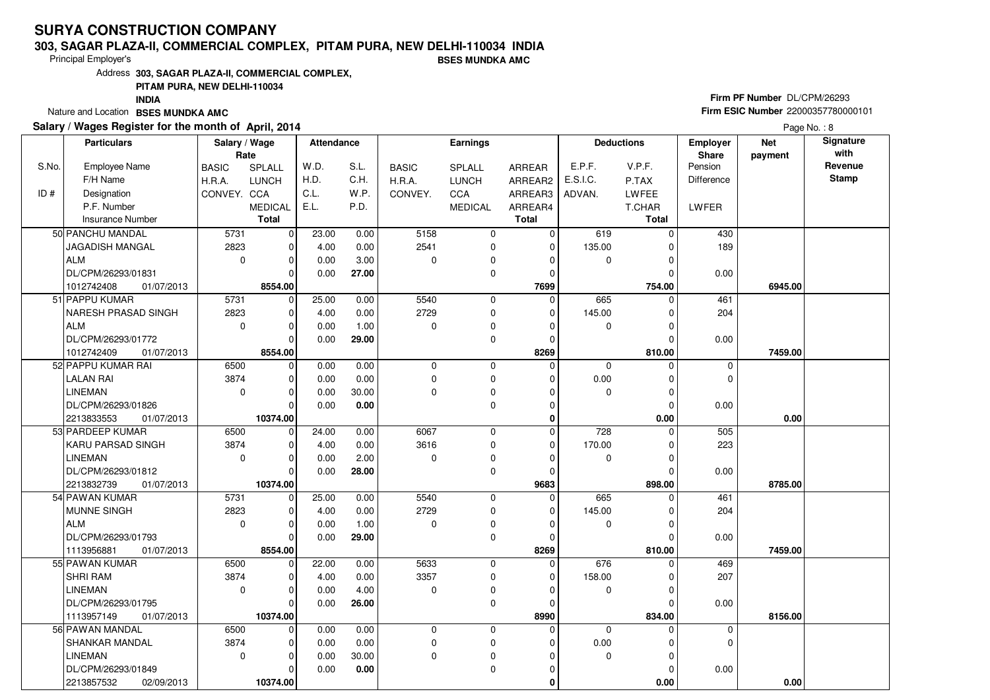#### **303, SAGAR PLAZA-II, COMMERCIAL COMPLEX, PITAM PURA, NEW DELHI-110034 INDIA**

Principal Employer's

**BSES MUNDKA AMC**

Address**303, SAGAR PLAZA-II, COMMERCIAL COMPLEX,**

### **PITAM PURA, NEW DELHI-110034**

**INDIA**

Nature and Location **BSES MUNDKA AMC** 

### **Salary / Wages Register for the month of April, 2014**

# **Firm PF Number** DL/CPM/26293 **Firm ESIC Number** <sup>22000357780000101</sup>

|       | <b>Particulars</b>       | Salary / Wage<br>Rate |                | <b>Attendance</b> |       |              | <b>Earnings</b> |               |             | <b>Deductions</b> | <b>Employer</b><br>Share | <b>Net</b><br>payment | Signature<br>with |
|-------|--------------------------|-----------------------|----------------|-------------------|-------|--------------|-----------------|---------------|-------------|-------------------|--------------------------|-----------------------|-------------------|
| S.No. | <b>Employee Name</b>     | <b>BASIC</b>          | SPLALL         | W.D.              | S.L.  | <b>BASIC</b> | SPLALL          | <b>ARREAR</b> | E.P.F.      | V.P.F.            | Pension                  |                       | Revenue           |
|       | F/H Name                 | H.R.A.                | <b>LUNCH</b>   | H.D.              | C.H.  | H.R.A.       | <b>LUNCH</b>    | ARREAR2       | E.S.I.C.    | P.TAX             | Difference               |                       | <b>Stamp</b>      |
| ID#   | Designation              | CONVEY. CCA           |                | C.L.              | W.P.  | CONVEY.      | CCA             | ARREAR3       | ADVAN.      | LWFEE             |                          |                       |                   |
|       | P.F. Number              |                       | <b>MEDICAL</b> | E.L.              | P.D.  |              | <b>MEDICAL</b>  | ARREAR4       |             | T.CHAR            | LWFER                    |                       |                   |
|       | <b>Insurance Number</b>  |                       | <b>Total</b>   |                   |       |              |                 | <b>Total</b>  |             | <b>Total</b>      |                          |                       |                   |
|       | 50 PANCHU MANDAL         | 5731                  | $\mathbf 0$    | 23.00             | 0.00  | 5158         | 0               | $\mathbf 0$   | 619         | 0                 | 430                      |                       |                   |
|       | JAGADISH MANGAL          | 2823                  | $\mathbf 0$    | 4.00              | 0.00  | 2541         | 0               | $\mathbf 0$   | 135.00      | $\Omega$          | 189                      |                       |                   |
|       | ALM                      | $\mathbf 0$           | $\mathbf 0$    | 0.00              | 3.00  | $\Omega$     | 0               | $\Omega$      | 0           |                   |                          |                       |                   |
|       | DL/CPM/26293/01831       |                       | $\Omega$       | 0.00              | 27.00 |              | $\mathbf 0$     | $\mathbf 0$   |             | 0                 | 0.00                     |                       |                   |
|       | 1012742408<br>01/07/2013 |                       | 8554.00        |                   |       |              |                 | 7699          |             | 754.00            |                          | 6945.00               |                   |
|       | 51 PAPPU KUMAR           | 5731                  | 0              | 25.00             | 0.00  | 5540         | $\mathbf 0$     | $\Omega$      | 665         | $\Omega$          | 461                      |                       |                   |
|       | NARESH PRASAD SINGH      | 2823                  | $\mathbf 0$    | 4.00              | 0.00  | 2729         | $\mathbf 0$     | 0             | 145.00      | O                 | 204                      |                       |                   |
|       | ALM                      | $\mathbf 0$           | $\mathbf 0$    | 0.00              | 1.00  | $\Omega$     | 0               | $\Omega$      | 0           |                   |                          |                       |                   |
|       | DL/CPM/26293/01772       |                       | $\Omega$       | 0.00              | 29.00 |              | $\mathbf 0$     | $\Omega$      |             | $\Omega$          | 0.00                     |                       |                   |
|       | 1012742409<br>01/07/2013 |                       | 8554.00        |                   |       |              |                 | 8269          |             | 810.00            |                          | 7459.00               |                   |
|       | 52 PAPPU KUMAR RAI       | 6500                  | $\mathbf 0$    | 0.00              | 0.00  | $\mathbf 0$  | $\mathbf 0$     | $\Omega$      | $\Omega$    | $\Omega$          | 0                        |                       |                   |
|       | LALAN RAI                | 3874                  | $\mathbf 0$    | 0.00              | 0.00  | 0            | 0               | 0             | 0.00        | $\Omega$          | $\mathbf 0$              |                       |                   |
|       | <b>LINEMAN</b>           | $\Omega$              | $\Omega$       | 0.00              | 30.00 | $\Omega$     | $\mathbf 0$     | $\Omega$      | $\Omega$    | $\Omega$          |                          |                       |                   |
|       | DL/CPM/26293/01826       |                       | $\Omega$       | 0.00              | 0.00  |              | $\mathbf 0$     | $\mathbf 0$   |             | $\Omega$          | 0.00                     |                       |                   |
|       | 2213833553<br>01/07/2013 |                       | 10374.00       |                   |       |              |                 | 0             |             | 0.00              |                          | 0.00                  |                   |
|       | 53 PARDEEP KUMAR         | 6500                  | $\mathbf 0$    | 24.00             | 0.00  | 6067         | $\mathbf 0$     | $\Omega$      | 728         | O                 | 505                      |                       |                   |
|       | <b>KARU PARSAD SINGH</b> | 3874                  | $\mathbf 0$    | 4.00              | 0.00  | 3616         | $\mathbf 0$     | $\mathbf 0$   | 170.00      |                   | 223                      |                       |                   |
|       | <b>LINEMAN</b>           | $\Omega$              | $\Omega$       | 0.00              | 2.00  | $\Omega$     | 0               | $\Omega$      | $\mathbf 0$ | U                 |                          |                       |                   |
|       | DL/CPM/26293/01812       |                       | $\Omega$       | 0.00              | 28.00 |              | $\mathbf 0$     | $\mathbf 0$   |             |                   | 0.00                     |                       |                   |
|       | 2213832739<br>01/07/2013 |                       | 10374.00       |                   |       |              |                 | 9683          |             | 898.00            |                          | 8785.00               |                   |
|       | 54 PAWAN KUMAR           | 5731                  | $\mathbf 0$    | 25.00             | 0.00  | 5540         | $\mathbf 0$     | $\mathbf 0$   | 665         |                   | 461                      |                       |                   |
|       | MUNNE SINGH              | 2823                  | $\Omega$       | 4.00              | 0.00  | 2729         | $\mathbf 0$     | $\Omega$      | 145.00      |                   | 204                      |                       |                   |
|       | ALM                      | $\mathbf 0$           | $\mathbf 0$    | 0.00              | 1.00  | $\Omega$     | $\mathbf 0$     | $\mathbf 0$   | 0           | $\Omega$          |                          |                       |                   |
|       | DL/CPM/26293/01793       |                       | $\mathbf 0$    | 0.00              | 29.00 |              | 0               | 0             |             |                   | 0.00                     |                       |                   |
|       | 1113956881<br>01/07/2013 |                       | 8554.00        |                   |       |              |                 | 8269          |             | 810.00            |                          | 7459.00               |                   |
|       | 55 PAWAN KUMAR           | 6500                  | $\mathbf 0$    | 22.00             | 0.00  | 5633         | $\mathbf 0$     | $\Omega$      | 676         | $\Omega$          | 469                      |                       |                   |
|       | <b>SHRI RAM</b>          | 3874                  | $\Omega$       | 4.00              | 0.00  | 3357         | $\mathbf 0$     | $\Omega$      | 158.00      | U                 | 207                      |                       |                   |
|       | <b>LINEMAN</b>           | $\Omega$              | $\mathbf 0$    | 0.00              | 4.00  | $\Omega$     | $\mathbf 0$     | $\Omega$      | 0           |                   |                          |                       |                   |
|       | DL/CPM/26293/01795       |                       | $\Omega$       | 0.00              | 26.00 |              | $\mathbf 0$     | $\Omega$      |             |                   | 0.00                     |                       |                   |
|       | 1113957149<br>01/07/2013 |                       | 10374.00       |                   |       |              |                 | 8990          |             | 834.00            |                          | 8156.00               |                   |
|       | 56 PAWAN MANDAL          | 6500                  | $\mathbf 0$    | 0.00              | 0.00  | $\Omega$     | $\mathbf 0$     | $\Omega$      | $\Omega$    | 0                 | 0                        |                       |                   |
|       | SHANKAR MANDAL           | 3874                  | $\mathbf 0$    | 0.00              | 0.00  | $\mathbf 0$  | $\mathbf 0$     | 0             | 0.00        |                   | $\mathbf 0$              |                       |                   |
|       | <b>LINEMAN</b>           | $\mathbf 0$           | $\mathbf 0$    | 0.00              | 30.00 | $\Omega$     | $\mathbf 0$     | $\Omega$      | $\mathbf 0$ | $\Omega$          |                          |                       |                   |
|       | DL/CPM/26293/01849       |                       | $\Omega$       | 0.00              | 0.00  |              | 0               | 0             |             |                   | 0.00                     |                       |                   |
|       | 2213857532<br>02/09/2013 |                       | 10374.00       |                   |       |              |                 | 0             |             | 0.00              |                          | 0.00                  |                   |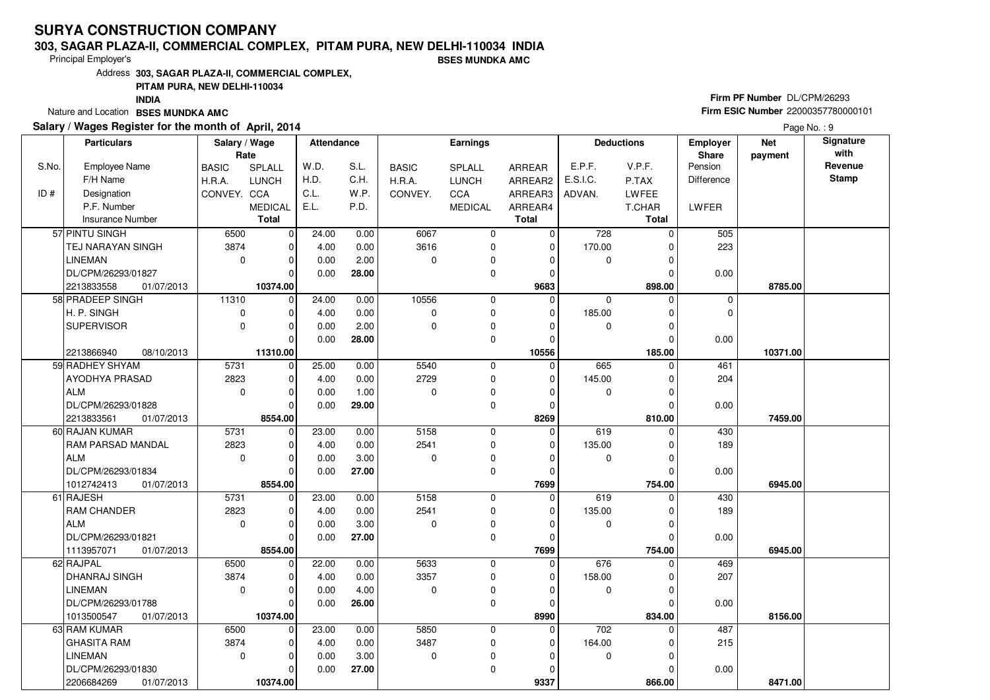#### **303, SAGAR PLAZA-II, COMMERCIAL COMPLEX, PITAM PURA, NEW DELHI-110034 INDIABSES MUNDKA AMC**

Principal Employer's

Address**303, SAGAR PLAZA-II, COMMERCIAL COMPLEX,**

**PITAM PURA, NEW DELHI-110034**

**INDIA**

Nature and Location **BSES MUNDKA AMC** 

### **Salary / Wages Register for the month of April, 2014**

# **Firm PF Number** DL/CPM/26293 **Firm ESIC Number** <sup>22000357780000101</sup>

|       | <b>Particulars</b>                           | Salary / Wage<br>Rate |                         | <b>Attendance</b> |       |              | Earnings       |                  |          | <b>Deductions</b>  | <b>Employer</b><br>Share | <b>Net</b><br>payment | Signature<br>with |
|-------|----------------------------------------------|-----------------------|-------------------------|-------------------|-------|--------------|----------------|------------------|----------|--------------------|--------------------------|-----------------------|-------------------|
| S.No. | <b>Employee Name</b>                         | <b>BASIC</b>          | SPLALL                  | W.D.              | S.L.  | <b>BASIC</b> | SPLALL         | ARREAR           | E.P.F.   | V.P.F.             | Pension                  |                       | Revenue           |
|       | F/H Name                                     | H.R.A.                | <b>LUNCH</b>            | H.D.              | C.H.  | H.R.A.       | <b>LUNCH</b>   | ARREAR2          | E.S.I.C. | P.TAX              | <b>Difference</b>        |                       | <b>Stamp</b>      |
| ID#   | Designation                                  | CONVEY. CCA           |                         | C.L.              | W.P.  | CONVEY.      | CCA            | ARREAR3          | ADVAN.   | LWFEE              |                          |                       |                   |
|       | P.F. Number                                  |                       | <b>MEDICAL</b>          | E.L.              | P.D.  |              | <b>MEDICAL</b> | ARREAR4          |          | T.CHAR             | LWFER                    |                       |                   |
|       | <b>Insurance Number</b>                      |                       | <b>Total</b>            |                   |       |              |                | <b>Total</b>     |          | <b>Total</b>       |                          |                       |                   |
|       | 57 PINTU SINGH                               | 6500                  | $\mathbf 0$             | 24.00             | 0.00  | 6067         | 0              | $\mathbf 0$      | 728      | $\Omega$           | 505                      |                       |                   |
|       | <b>TEJ NARAYAN SINGH</b>                     | 3874                  | $\mathbf 0$             | 4.00              | 0.00  | 3616         | $\mathbf 0$    | 0                | 170.00   | U                  | 223                      |                       |                   |
|       | <b>LINEMAN</b>                               | $\mathbf 0$           | $\mathbf 0$             | 0.00              | 2.00  | $\Omega$     | 0              | $\Omega$         | 0        |                    |                          |                       |                   |
|       | DL/CPM/26293/01827                           |                       | $\Omega$                | 0.00              | 28.00 |              | $\mathbf 0$    | $\Omega$         |          | U                  | 0.00                     |                       |                   |
|       |                                              |                       |                         |                   |       |              |                |                  |          |                    |                          |                       |                   |
|       | 2213833558<br>01/07/2013<br>58 PRADEEP SINGH |                       | 10374.00<br>$\mathbf 0$ |                   |       | 10556        | $\mathbf 0$    | 9683<br>$\Omega$ |          | 898.00<br>$\Omega$ |                          | 8785.00               |                   |
|       |                                              | 11310                 |                         | 24.00             | 0.00  |              |                |                  | 0        |                    | 0                        |                       |                   |
|       | H. P. SINGH                                  | $\mathbf 0$           | $\mathbf 0$             | 4.00              | 0.00  | $\Omega$     | 0              | 0                | 185.00   | 0                  | 0                        |                       |                   |
|       | <b>SUPERVISOR</b>                            | $\mathbf 0$           | $\Omega$                | 0.00              | 2.00  | $\Omega$     | $\mathbf 0$    | $\Omega$         | 0        | $\Omega$           |                          |                       |                   |
|       |                                              |                       | $\Omega$                | 0.00              | 28.00 |              | 0              | 0                |          | 0                  | 0.00                     |                       |                   |
|       | 08/10/2013<br>2213866940                     |                       | 11310.00                |                   |       |              |                | 10556            |          | 185.00             |                          | 10371.00              |                   |
|       | 59 RADHEY SHYAM                              | 5731                  | $\mathbf 0$             | 25.00             | 0.00  | 5540         | 0              | $\mathbf 0$      | 665      | $\Omega$           | 461                      |                       |                   |
|       | AYODHYA PRASAD                               | 2823                  | $\mathbf 0$             | 4.00              | 0.00  | 2729         | $\mathbf 0$    | $\mathbf 0$      | 145.00   | $\Omega$           | 204                      |                       |                   |
|       | ALM                                          | $\mathbf 0$           | $\mathbf 0$             | 0.00              | 1.00  | $\Omega$     | 0              | $\Omega$         | 0        | $\Omega$           |                          |                       |                   |
|       | DL/CPM/26293/01828                           |                       | $\Omega$                | 0.00              | 29.00 |              | $\mathbf 0$    | $\Omega$         |          |                    | 0.00                     |                       |                   |
|       | 2213833561<br>01/07/2013                     |                       | 8554.00                 |                   |       |              |                | 8269             |          | 810.00             |                          | 7459.00               |                   |
|       | 60 RAJAN KUMAR                               | 5731                  | $\mathbf 0$             | 23.00             | 0.00  | 5158         | 0              | $\mathbf 0$      | 619      | 0                  | 430                      |                       |                   |
|       | RAM PARSAD MANDAL                            | 2823                  | $\Omega$                | 4.00              | 0.00  | 2541         | 0              | $\Omega$         | 135.00   |                    | 189                      |                       |                   |
|       | <b>ALM</b>                                   | $\Omega$              | $\mathbf 0$             | 0.00              | 3.00  | $\Omega$     | 0              | $\Omega$         | 0        | O                  |                          |                       |                   |
|       | DL/CPM/26293/01834                           |                       | $\Omega$                | 0.00              | 27.00 |              | $\Omega$       | $\Omega$         |          |                    | 0.00                     |                       |                   |
|       | 1012742413<br>01/07/2013                     |                       | 8554.00                 |                   |       |              |                | 7699             |          | 754.00             |                          | 6945.00               |                   |
|       | 61 RAJESH                                    | 5731                  | $\mathbf 0$             | 23.00             | 0.00  | 5158         | $\Omega$       | $\mathbf 0$      | 619      | O                  | 430                      |                       |                   |
|       | <b>RAM CHANDER</b>                           | 2823                  | $\mathbf 0$             | 4.00              | 0.00  | 2541         | $\mathbf 0$    | $\mathbf 0$      | 135.00   |                    | 189                      |                       |                   |
|       | ALM                                          | $\mathbf 0$           | $\mathbf 0$             | 0.00              | 3.00  | $\Omega$     | $\mathbf 0$    | 0                | 0        | $\Omega$           |                          |                       |                   |
|       | DL/CPM/26293/01821                           |                       | $\mathbf 0$             | 0.00              | 27.00 |              | 0              | 0                |          |                    | 0.00                     |                       |                   |
|       | 1113957071<br>01/07/2013                     |                       | 8554.00                 |                   |       |              |                | 7699             |          | 754.00             |                          | 6945.00               |                   |
|       | 62 RAJPAL                                    | 6500                  | $\mathbf 0$             | 22.00             | 0.00  | 5633         | $\mathbf 0$    | $\Omega$         | 676      | $\Omega$           | 469                      |                       |                   |
|       | <b>DHANRAJ SINGH</b>                         | 3874                  | $\Omega$                | 4.00              | 0.00  | 3357         | $\mathbf 0$    | $\Omega$         | 158.00   | U                  | 207                      |                       |                   |
|       | <b>LINEMAN</b>                               | $\mathbf 0$           | $\mathbf 0$             | 0.00              | 4.00  | $\Omega$     | 0              | $\Omega$         | 0        |                    |                          |                       |                   |
|       | DL/CPM/26293/01788                           |                       | $\Omega$                | 0.00              | 26.00 |              | $\mathbf 0$    | $\Omega$         |          |                    | 0.00                     |                       |                   |
|       | 1013500547<br>01/07/2013                     |                       | 10374.00                |                   |       |              |                | 8990             |          | 834.00             |                          | 8156.00               |                   |
|       | 63 RAM KUMAR                                 | 6500                  | $\mathbf 0$             | 23.00             | 0.00  | 5850         | $\mathbf 0$    | $\Omega$         | 702      | 0                  | 487                      |                       |                   |
|       | <b>GHASITA RAM</b>                           | 3874                  | $\Omega$                | 4.00              | 0.00  | 3487         | $\mathbf 0$    | 0                | 164.00   |                    | 215                      |                       |                   |
|       | <b>LINEMAN</b>                               | $\mathbf 0$           | $\mathbf 0$             | 0.00              | 3.00  | $\mathbf 0$  | 0              | $\Omega$         | 0        | O                  |                          |                       |                   |
|       | DL/CPM/26293/01830                           |                       | 0                       | 0.00              | 27.00 |              | 0              | $\Omega$         |          |                    | 0.00                     |                       |                   |
|       | 2206684269<br>01/07/2013                     |                       | 10374.00                |                   |       |              |                | 9337             |          | 866.00             |                          | 8471.00               |                   |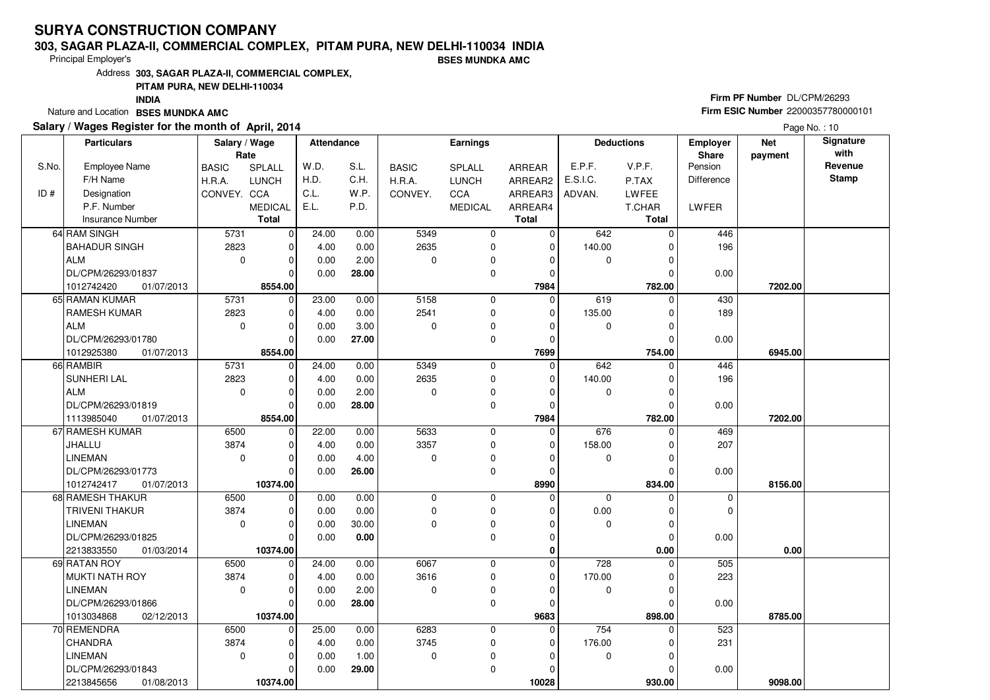#### **303, SAGAR PLAZA-II, COMMERCIAL COMPLEX, PITAM PURA, NEW DELHI-110034 INDIABSES MUNDKA AMC**

Principal Employer's

Address**303, SAGAR PLAZA-II, COMMERCIAL COMPLEX,**

**PITAM PURA, NEW DELHI-110034**

**INDIA**

Nature and Location **BSES MUNDKA AMC** 

#### **Salary / Wages Register for the month of April, 2014**

# **Firm PF Number** DL/CPM/26293 **Firm ESIC Number** <sup>22000357780000101</sup>

|       | <b>Particulars</b>       | Salary / Wage        |                | <b>Attendance</b> |       |              | Earnings       |              |                  | <b>Deductions</b> | <b>Employer</b>  | <b>Net</b> | Signature<br>with |
|-------|--------------------------|----------------------|----------------|-------------------|-------|--------------|----------------|--------------|------------------|-------------------|------------------|------------|-------------------|
| S.No. | Employee Name            | Rate<br><b>BASIC</b> | SPLALL         | W.D.              | S.L.  | <b>BASIC</b> | SPLALL         | ARREAR       | E.P.F.           | V.P.F.            | Share<br>Pension | payment    | Revenue           |
|       | F/H Name                 | H.R.A.               | <b>LUNCH</b>   | H.D.              | C.H.  | H.R.A.       | <b>LUNCH</b>   | ARREAR2      | E.S.I.C.         | P.TAX             | Difference       |            | <b>Stamp</b>      |
| ID#   | Designation              | CONVEY. CCA          |                | C.L.              | W.P.  | CONVEY.      | CCA            | ARREAR3      | ADVAN.           | LWFEE             |                  |            |                   |
|       | P.F. Number              |                      | <b>MEDICAL</b> | E.L.              | P.D.  |              | <b>MEDICAL</b> | ARREAR4      |                  | T.CHAR            | LWFER            |            |                   |
|       | Insurance Number         |                      | <b>Total</b>   |                   |       |              |                | <b>Total</b> |                  | <b>Total</b>      |                  |            |                   |
|       |                          |                      |                |                   |       |              |                |              |                  |                   |                  |            |                   |
|       | 64 RAM SINGH             | 5731                 | $\overline{0}$ | 24.00             | 0.00  | 5349         | 0              | $\mathbf 0$  | 642              | $\Omega$          | 446              |            |                   |
|       | <b>BAHADUR SINGH</b>     | 2823                 | $\Omega$       | 4.00              | 0.00  | 2635         | 0              | $\mathbf 0$  | 140.00           | $\Omega$          | 196              |            |                   |
|       | <b>ALM</b>               | $\mathbf 0$          | 0              | 0.00              | 2.00  | $\mathbf 0$  | 0              | 0            | 0                |                   |                  |            |                   |
|       | DL/CPM/26293/01837       |                      | $\Omega$       | 0.00              | 28.00 |              | 0              | $\mathbf 0$  |                  |                   | 0.00             |            |                   |
|       | 1012742420<br>01/07/2013 |                      | 8554.00        |                   |       |              |                | 7984         |                  | 782.00            |                  | 7202.00    |                   |
|       | 65 RAMAN KUMAR           | 5731                 | 0              | 23.00             | 0.00  | 5158         | 0              | $\Omega$     | 619              | $\Omega$          | 430              |            |                   |
|       | <b>RAMESH KUMAR</b>      | 2823                 | $\Omega$       | 4.00              | 0.00  | 2541         | $\mathbf 0$    | $\Omega$     | 135.00           | $\Omega$          | 189              |            |                   |
|       | <b>ALM</b>               | $\mathbf 0$          | $\Omega$       | 0.00              | 3.00  | 0            | 0              | $\Omega$     | 0                |                   |                  |            |                   |
|       | DL/CPM/26293/01780       |                      | $\Omega$       | 0.00              | 27.00 |              | 0              | 0            |                  | $\Omega$          | 0.00             |            |                   |
|       | 1012925380<br>01/07/2013 |                      | 8554.00        |                   |       |              |                | 7699         |                  | 754.00            |                  | 6945.00    |                   |
|       | 66 RAMBIR                | 5731                 | $\Omega$       | 24.00             | 0.00  | 5349         | 0              | $\mathbf 0$  | 642              | $\Omega$          | 446              |            |                   |
|       | SUNHERI LAL              | 2823                 | $\Omega$       | 4.00              | 0.00  | 2635         | 0              | 0            | 140.00           |                   | 196              |            |                   |
|       | <b>ALM</b>               | $\mathbf 0$          | $\Omega$       | 0.00              | 2.00  | $\Omega$     | 0              | $\Omega$     | $\mathbf 0$      | O                 |                  |            |                   |
|       | DL/CPM/26293/01819       |                      | $\Omega$       | 0.00              | 28.00 |              | 0              | $\mathbf 0$  |                  |                   | 0.00             |            |                   |
|       | 1113985040<br>01/07/2013 |                      | 8554.00        |                   |       |              |                | 7984         |                  | 782.00            |                  | 7202.00    |                   |
|       | 67 RAMESH KUMAR          | 6500                 | 0              | 22.00             | 0.00  | 5633         | 0              | $\mathbf 0$  | 676              | $\Omega$          | 469              |            |                   |
|       | JHALLU                   | 3874                 | $\Omega$       | 4.00              | 0.00  | 3357         | 0              | $\mathbf 0$  | 158.00           |                   | 207              |            |                   |
|       | <b>LINEMAN</b>           | $\mathbf 0$          | $\Omega$       | 0.00              | 4.00  | $\Omega$     | 0              | $\Omega$     | $\mathbf 0$      |                   |                  |            |                   |
|       | DL/CPM/26293/01773       |                      | $\Omega$       | 0.00              | 26.00 |              | $\mathbf 0$    | $\mathbf 0$  |                  |                   | 0.00             |            |                   |
|       | 1012742417<br>01/07/2013 |                      | 10374.00       |                   |       |              |                | 8990         |                  | 834.00            |                  | 8156.00    |                   |
|       | 68 RAMESH THAKUR         | 6500                 | $\overline{0}$ | 0.00              | 0.00  | $\mathbf 0$  | 0              | $\mathbf 0$  | $\mathbf 0$      | $\Omega$          | 0                |            |                   |
|       | <b>TRIVENI THAKUR</b>    | 3874                 | $\Omega$       | 0.00              | 0.00  | $\Omega$     | 0              | $\Omega$     | 0.00             | O                 | $\Omega$         |            |                   |
|       | <b>LINEMAN</b>           | $\mathbf 0$          | 0              | 0.00              | 30.00 | $\Omega$     | 0              | $\mathbf 0$  | $\mathbf 0$      | $\Omega$          |                  |            |                   |
|       | DL/CPM/26293/01825       |                      | $\Omega$       | 0.00              | 0.00  |              | $\mathbf 0$    | $\mathbf 0$  |                  | $\Omega$          | 0.00             |            |                   |
|       | 2213833550<br>01/03/2014 |                      | 10374.00       |                   |       |              |                | 0            |                  | $0.00\,$          |                  | 0.00       |                   |
|       | 69 RATAN ROY             | 6500                 | $\Omega$       | 24.00             | 0.00  | 6067         | 0              | 0            | $\overline{728}$ | 0                 | 505              |            |                   |
|       | MUKTI NATH ROY           | 3874                 | $\Omega$       | 4.00              | 0.00  | 3616         | 0              | $\Omega$     | 170.00           | $\Omega$          | 223              |            |                   |
|       | <b>LINEMAN</b>           | $\mathbf 0$          | 0              | 0.00              | 2.00  | $\Omega$     | 0              | $\Omega$     | 0                |                   |                  |            |                   |
|       | DL/CPM/26293/01866       |                      | $\Omega$       | 0.00              | 28.00 |              | $\mathbf 0$    | $\Omega$     |                  | U                 | 0.00             |            |                   |
|       | 1013034868<br>02/12/2013 |                      | 10374.00       |                   |       |              |                | 9683         |                  | 898.00            |                  | 8785.00    |                   |
|       | 70 REMENDRA              | 6500                 | $\Omega$       | 25.00             | 0.00  | 6283         | $\mathbf 0$    | $\Omega$     | 754              | 0                 | 523              |            |                   |
|       | <b>CHANDRA</b>           | 3874                 | $\Omega$       | 4.00              | 0.00  | 3745         | 0              | 0            | 176.00           |                   | 231              |            |                   |
|       | <b>LINEMAN</b>           | $\mathbf 0$          | $\Omega$       | 0.00              | 1.00  | $\mathbf 0$  | 0              | $\Omega$     | 0                | O                 |                  |            |                   |
|       | DL/CPM/26293/01843       |                      | 0              | 0.00              | 29.00 |              | 0              | O            |                  |                   | 0.00             |            |                   |
|       | 2213845656<br>01/08/2013 |                      | 10374.00       |                   |       |              |                | 10028        |                  | 930.00            |                  | 9098.00    |                   |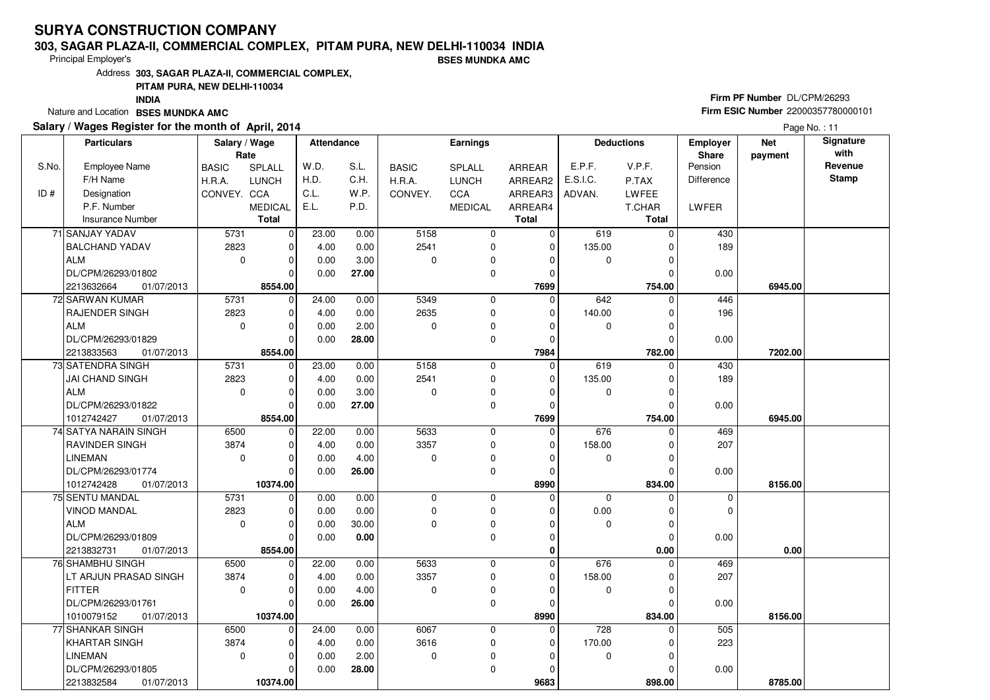#### **303, SAGAR PLAZA-II, COMMERCIAL COMPLEX, PITAM PURA, NEW DELHI-110034 INDIA**

Principal Employer's

**BSES MUNDKA AMC**

Address**303, SAGAR PLAZA-II, COMMERCIAL COMPLEX,**

### **PITAM PURA, NEW DELHI-110034**

**INDIA**

Nature and Location **BSES MUNDKA AMC** 

### **Salary / Wages Register for the month of April, 2014**

# **Firm PF Number** DL/CPM/26293 **Firm ESIC Number** <sup>22000357780000101</sup>

|       | <b>Particulars</b>       | Salary / Wage<br>Rate |                | Attendance |       |              | Earnings       |              |              | <b>Deductions</b> | <b>Employer</b><br>Share | <b>Net</b><br>payment | Signature<br>with |
|-------|--------------------------|-----------------------|----------------|------------|-------|--------------|----------------|--------------|--------------|-------------------|--------------------------|-----------------------|-------------------|
| S.No. | <b>Employee Name</b>     | <b>BASIC</b>          | <b>SPLALL</b>  | W.D.       | S.L.  | <b>BASIC</b> | SPLALL         | ARREAR       | E.P.F.       | V.P.F.            | Pension                  |                       | Revenue           |
|       | F/H Name                 | H.R.A.                | <b>LUNCH</b>   | H.D.       | C.H.  | H.R.A.       | <b>LUNCH</b>   | ARREAR2      | E.S.I.C.     | P.TAX             | Difference               |                       | <b>Stamp</b>      |
| ID#   | Designation              | CONVEY. CCA           |                | C.L.       | W.P.  | CONVEY.      | CCA            | ARREAR3      | ADVAN.       | <b>LWFEE</b>      |                          |                       |                   |
|       | P.F. Number              |                       | <b>MEDICAL</b> | E.L.       | P.D.  |              | <b>MEDICAL</b> | ARREAR4      |              | T.CHAR            | LWFER                    |                       |                   |
|       | <b>Insurance Number</b>  |                       | <b>Total</b>   |            |       |              |                | <b>Total</b> |              | Total             |                          |                       |                   |
|       | 71 SANJAY YADAV          | 5731                  | $\mathbf 0$    | 23.00      | 0.00  | 5158         | 0              | $\Omega$     | 619          | $\Omega$          | 430                      |                       |                   |
|       | <b>BALCHAND YADAV</b>    | 2823                  | $\mathbf 0$    | 4.00       | 0.00  | 2541         | $\mathbf 0$    | $\mathbf 0$  | 135.00       | $\Omega$          | 189                      |                       |                   |
|       | <b>ALM</b>               | $\mathbf 0$           | $\mathbf 0$    | 0.00       | 3.00  | 0            | 0              | 0            | 0            | $\Omega$          |                          |                       |                   |
|       | DL/CPM/26293/01802       |                       | $\Omega$       | 0.00       | 27.00 |              | 0              | $\mathbf 0$  |              | $\Omega$          | 0.00                     |                       |                   |
|       | 2213632664<br>01/07/2013 |                       | 8554.00        |            |       |              |                | 7699         |              | 754.00            |                          | 6945.00               |                   |
|       | 72 SARWAN KUMAR          | 5731                  | 0              | 24.00      | 0.00  | 5349         | 0              | $\mathbf 0$  | 642          | $\Omega$          | 446                      |                       |                   |
|       | RAJENDER SINGH           | 2823                  | $\mathbf 0$    | 4.00       | 0.00  | 2635         | 0              | $\mathbf 0$  | 140.00       | 0                 | 196                      |                       |                   |
|       | <b>ALM</b>               | $\mathbf 0$           | $\mathbf 0$    | 0.00       | 2.00  | 0            | 0              | $\Omega$     | $\mathbf 0$  | 0                 |                          |                       |                   |
|       | DL/CPM/26293/01829       |                       | $\overline{0}$ | 0.00       | 28.00 |              | 0              | $\mathbf 0$  |              | 0                 | 0.00                     |                       |                   |
|       | 2213833563<br>01/07/2013 |                       | 8554.00        |            |       |              |                | 7984         |              | 782.00            |                          | 7202.00               |                   |
|       | 73 SATENDRA SINGH        | 5731                  | $\overline{0}$ | 23.00      | 0.00  | 5158         | $\mathbf 0$    | $\mathbf 0$  | 619          | $\Omega$          | 430                      |                       |                   |
|       | JAI CHAND SINGH          | 2823                  | $\mathbf 0$    | 4.00       | 0.00  | 2541         | 0              | $\mathbf 0$  | 135.00       | $\mathcal{C}$     | 189                      |                       |                   |
|       | ALM                      | $\Omega$              | $\mathbf 0$    | 0.00       | 3.00  | $\Omega$     | 0              | $\Omega$     | $\mathbf 0$  | $\Omega$          |                          |                       |                   |
|       | DL/CPM/26293/01822       |                       | $\mathbf 0$    | 0.00       | 27.00 |              | 0              | $\mathbf 0$  |              | C                 | 0.00                     |                       |                   |
|       | 1012742427<br>01/07/2013 |                       | 8554.00        |            |       |              |                | 7699         |              | 754.00            |                          | 6945.00               |                   |
|       | 74 SATYA NARAIN SINGH    | 6500                  | 0              | 22.00      | 0.00  | 5633         | $\mathbf 0$    | $\mathbf 0$  | 676          | $\Omega$          | 469                      |                       |                   |
|       | <b>RAVINDER SINGH</b>    | 3874                  | $\mathbf 0$    | 4.00       | 0.00  | 3357         | 0              | $\Omega$     | 158.00       |                   | 207                      |                       |                   |
|       | LINEMAN                  | $\Omega$              | $\Omega$       | 0.00       | 4.00  | 0            | 0              | $\Omega$     | 0            | $\Omega$          |                          |                       |                   |
|       | DL/CPM/26293/01774       |                       | $\Omega$       | 0.00       | 26.00 |              | $\mathbf 0$    | $\Omega$     |              | $\mathcal{C}$     | 0.00                     |                       |                   |
|       | 1012742428<br>01/07/2013 |                       | 10374.00       |            |       |              |                | 8990         |              | 834.00            |                          | 8156.00               |                   |
|       | 75 SENTU MANDAL          | 5731                  | $\mathbf 0$    | 0.00       | 0.00  | $\mathbf 0$  | 0              | $\Omega$     | $\Omega$     | $\Omega$          | 0                        |                       |                   |
|       | <b>VINOD MANDAL</b>      | 2823                  | $\mathbf 0$    | 0.00       | 0.00  | $\mathbf 0$  | 0              | $\Omega$     | 0.00         | $\Omega$          | $\mathbf 0$              |                       |                   |
|       | <b>ALM</b>               | $\mathbf 0$           | $\mathbf 0$    | 0.00       | 30.00 | 0            | 0              | $\mathbf 0$  | $\mathbf 0$  | $\Omega$          |                          |                       |                   |
|       | DL/CPM/26293/01809       |                       | $\mathbf 0$    | 0.00       | 0.00  |              | $\mathbf 0$    | $\mathbf 0$  |              | $\Omega$          | 0.00                     |                       |                   |
|       | 2213832731<br>01/07/2013 |                       | 8554.00        |            |       |              |                | 0            |              | 0.00              |                          | 0.00                  |                   |
|       | <b>76 SHAMBHU SINGH</b>  | 6500                  | $\mathbf 0$    | 22.00      | 0.00  | 5633         | $\mathbf 0$    | $\mathbf 0$  | 676          | $\Omega$          | 469                      |                       |                   |
|       | LT ARJUN PRASAD SINGH    | 3874                  | $\Omega$       | 4.00       | 0.00  | 3357         | $\mathbf 0$    | $\Omega$     | 158.00       | $\Omega$          | 207                      |                       |                   |
|       | <b>FITTER</b>            | $\mathbf 0$           | $\mathbf 0$    | 0.00       | 4.00  | 0            | 0              | $\Omega$     | 0            | $\Omega$          |                          |                       |                   |
|       | DL/CPM/26293/01761       |                       | $\Omega$       | 0.00       | 26.00 |              | $\mathbf 0$    | $\Omega$     |              | $\Omega$          | 0.00                     |                       |                   |
|       | 1010079152<br>01/07/2013 |                       | 10374.00       |            |       |              |                | 8990         |              | 834.00            |                          | 8156.00               |                   |
|       | 77 SHANKAR SINGH         | 6500                  | $\mathbf 0$    | 24.00      | 0.00  | 6067         | $\mathbf 0$    | $\mathbf 0$  | 728          |                   | 505                      |                       |                   |
|       | <b>KHARTAR SINGH</b>     | 3874                  | $\mathbf 0$    | 4.00       | 0.00  | 3616         | 0              | $\mathbf 0$  | 170.00       |                   | 223                      |                       |                   |
|       | <b>LINEMAN</b>           | $\mathbf 0$           | $\mathbf 0$    | 0.00       | 2.00  | 0            | 0              | $\Omega$     | $\mathbf{0}$ | $\Omega$          |                          |                       |                   |
|       | DL/CPM/26293/01805       |                       | $\mathbf 0$    | 0.00       | 28.00 |              | 0              | $\Omega$     |              | ∩                 | 0.00                     |                       |                   |
|       | 2213832584<br>01/07/2013 |                       | 10374.00       |            |       |              |                | 9683         |              | 898.00            |                          | 8785.00               |                   |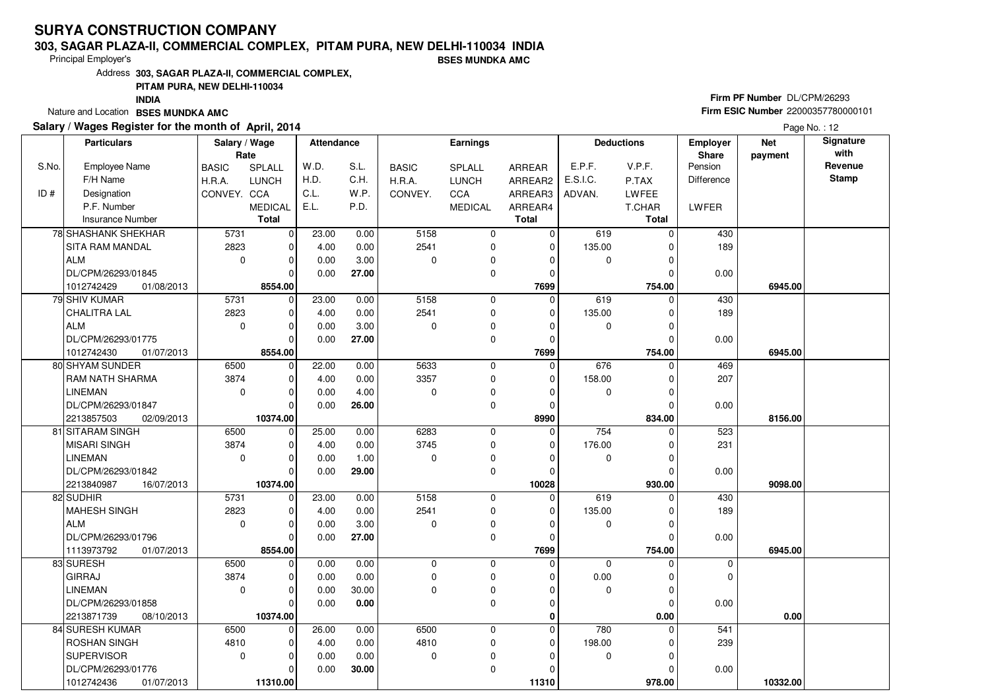#### **303, SAGAR PLAZA-II, COMMERCIAL COMPLEX, PITAM PURA, NEW DELHI-110034 INDIA**

Principal Employer's

**BSES MUNDKA AMC**

Address**303, SAGAR PLAZA-II, COMMERCIAL COMPLEX,**

### **PITAM PURA, NEW DELHI-110034**

**INDIA**

Nature and Location **BSES MUNDKA AMC** 

### **Salary / Wages Register for the month of April, 2014**

# **Firm PF Number** DL/CPM/26293 **Firm ESIC Number** <sup>22000357780000101</sup>

|       | <b>Particulars</b>       | Salary / Wage<br>Rate |                | Attendance |       |              | <b>Earnings</b> |              |          | <b>Deductions</b> | <b>Employer</b><br>Share | <b>Net</b><br>payment | Signature<br>with |
|-------|--------------------------|-----------------------|----------------|------------|-------|--------------|-----------------|--------------|----------|-------------------|--------------------------|-----------------------|-------------------|
| S.No. | <b>Employee Name</b>     | <b>BASIC</b>          | SPLALL         | W.D.       | S.L.  | <b>BASIC</b> | <b>SPLALL</b>   | ARREAR       | E.P.F.   | V.P.F.            | Pension                  |                       | Revenue           |
|       | F/H Name                 | H.R.A.                | <b>LUNCH</b>   | H.D.       | C.H.  | H.R.A.       | <b>LUNCH</b>    | ARREAR2      | E.S.I.C. | P.TAX             | <b>Difference</b>        |                       | <b>Stamp</b>      |
| ID#   | Designation              | CONVEY. CCA           |                | C.L.       | W.P.  | CONVEY.      | CCA             | ARREAR3      | ADVAN.   | LWFEE             |                          |                       |                   |
|       | P.F. Number              |                       | <b>MEDICAL</b> | E.L.       | P.D.  |              | <b>MEDICAL</b>  | ARREAR4      |          | T.CHAR            | <b>LWFER</b>             |                       |                   |
|       | <b>Insurance Number</b>  |                       | <b>Total</b>   |            |       |              |                 | <b>Total</b> |          | <b>Total</b>      |                          |                       |                   |
|       | 78 SHASHANK SHEKHAR      | 5731                  | $\mathbf 0$    | 23.00      | 0.00  | 5158         | $\mathbf 0$     | 0            | 619      | $\Omega$          | 430                      |                       |                   |
|       | SITA RAM MANDAL          | 2823                  | $\mathbf 0$    | 4.00       | 0.00  | 2541         | 0               | $\mathbf 0$  | 135.00   |                   | 189                      |                       |                   |
|       | ALM                      | $\mathbf 0$           | $\mathbf 0$    | 0.00       | 3.00  | $\Omega$     | $\mathbf 0$     | $\mathbf 0$  | 0        |                   |                          |                       |                   |
|       | DL/CPM/26293/01845       |                       | $\Omega$       | 0.00       | 27.00 |              | 0               | 0            |          |                   | 0.00                     |                       |                   |
|       | 1012742429<br>01/08/2013 |                       | 8554.00        |            |       |              |                 | 7699         |          | 754.00            |                          | 6945.00               |                   |
|       | 79 SHIV KUMAR            | 5731                  | $\mathbf 0$    | 23.00      | 0.00  | 5158         | 0               | $\Omega$     | 619      | 0                 | 430                      |                       |                   |
|       | <b>CHALITRA LAL</b>      | 2823                  | $\mathbf 0$    | 4.00       | 0.00  | 2541         | 0               | $\mathbf 0$  | 135.00   | $\Omega$          | 189                      |                       |                   |
|       | ALM                      | $\mathbf 0$           | $\mathbf 0$    | 0.00       | 3.00  | $\mathbf 0$  | 0               | $\Omega$     | 0        | O                 |                          |                       |                   |
|       | DL/CPM/26293/01775       |                       | $\Omega$       | 0.00       | 27.00 |              | $\mathbf 0$     | $\mathbf 0$  |          | $\Omega$          | 0.00                     |                       |                   |
|       | 1012742430<br>01/07/2013 |                       | 8554.00        |            |       |              |                 | 7699         |          | 754.00            |                          | 6945.00               |                   |
|       | 80 SHYAM SUNDER          | 6500                  | $\mathbf 0$    | 22.00      | 0.00  | 5633         | $\mathbf 0$     | $\mathbf 0$  | 676      | $\Omega$          | 469                      |                       |                   |
|       | <b>RAM NATH SHARMA</b>   | 3874                  | $\mathbf 0$    | 4.00       | 0.00  | 3357         | $\mathbf 0$     | 0            | 158.00   | 0                 | 207                      |                       |                   |
|       | <b>LINEMAN</b>           | $\mathbf 0$           | $\mathbf 0$    | 0.00       | 4.00  | $\Omega$     | 0               | $\Omega$     | 0        |                   |                          |                       |                   |
|       | DL/CPM/26293/01847       |                       | $\Omega$       | 0.00       | 26.00 |              | 0               | 0            |          |                   | 0.00                     |                       |                   |
|       | 2213857503<br>02/09/2013 |                       | 10374.00       |            |       |              |                 | 8990         |          | 834.00            |                          | 8156.00               |                   |
|       | 81 SITARAM SINGH         | 6500                  | 0              | 25.00      | 0.00  | 6283         | 0               | $\mathbf 0$  | 754      | $\mathbf 0$       | 523                      |                       |                   |
|       | <b>MISARI SINGH</b>      | 3874                  | $\mathbf 0$    | 4.00       | 0.00  | 3745         | $\mathbf 0$     | $\mathbf 0$  | 176.00   |                   | 231                      |                       |                   |
|       | <b>LINEMAN</b>           | $\mathbf 0$           | $\mathbf 0$    | 0.00       | 1.00  | $\Omega$     | 0               | $\Omega$     | 0        | O                 |                          |                       |                   |
|       | DL/CPM/26293/01842       |                       | $\Omega$       | 0.00       | 29.00 |              | $\Omega$        | $\Omega$     |          |                   | 0.00                     |                       |                   |
|       | 2213840987<br>16/07/2013 |                       | 10374.00       |            |       |              |                 | 10028        |          | 930.00            |                          | 9098.00               |                   |
|       | 82 SUDHIR                | 5731                  | $\mathbf 0$    | 23.00      | 0.00  | 5158         | $\mathbf 0$     | 0            | 619      |                   | 430                      |                       |                   |
|       | MAHESH SINGH             | 2823                  | $\Omega$       | 4.00       | 0.00  | 2541         | 0               | 0            | 135.00   |                   | 189                      |                       |                   |
|       | <b>ALM</b>               | $\mathbf 0$           | $\mathbf 0$    | 0.00       | 3.00  | $\Omega$     | $\mathbf 0$     | $\Omega$     | 0        | $\Omega$          |                          |                       |                   |
|       | DL/CPM/26293/01796       |                       | $\mathbf 0$    | 0.00       | 27.00 |              | 0               | $\Omega$     |          |                   | 0.00                     |                       |                   |
|       | 1113973792<br>01/07/2013 |                       | 8554.00        |            |       |              |                 | 7699         |          | 754.00            |                          | 6945.00               |                   |
|       | 83 SURESH                | 6500                  | $\mathbf 0$    | 0.00       | 0.00  | $\mathbf 0$  | 0               | $\mathbf 0$  | 0        | 0                 | 0                        |                       |                   |
|       | <b>GIRRAJ</b>            | 3874                  | $\mathbf 0$    | 0.00       | 0.00  | $\mathbf 0$  | $\mathbf 0$     | $\Omega$     | 0.00     | $\Omega$          | 0                        |                       |                   |
|       | <b>LINEMAN</b>           | $\mathbf 0$           | $\mathbf 0$    | 0.00       | 30.00 | $\Omega$     | $\mathbf 0$     | $\Omega$     | 0        | O                 |                          |                       |                   |
|       | DL/CPM/26293/01858       |                       | $\Omega$       | 0.00       | 0.00  |              | $\mathbf 0$     | $\mathbf 0$  |          | $\Omega$          | 0.00                     |                       |                   |
|       | 2213871739<br>08/10/2013 |                       | 10374.00       |            |       |              |                 | 0            |          | 0.00              |                          | 0.00                  |                   |
|       | 84 SURESH KUMAR          | 6500                  | $\mathbf 0$    | 26.00      | 0.00  | 6500         | $\mathbf 0$     | $\Omega$     | 780      | 0                 | 541                      |                       |                   |
|       | <b>ROSHAN SINGH</b>      | 4810                  | $\Omega$       | 4.00       | 0.00  | 4810         | 0               | 0            | 198.00   |                   | 239                      |                       |                   |
|       | <b>SUPERVISOR</b>        | $\mathbf 0$           | $\mathbf 0$    | 0.00       | 0.00  | $\mathbf 0$  | 0               | $\Omega$     | 0        | $\Omega$          |                          |                       |                   |
|       | DL/CPM/26293/01776       |                       | $\Omega$       | 0.00       | 30.00 |              | 0               | $\Omega$     |          |                   | 0.00                     |                       |                   |
|       | 1012742436<br>01/07/2013 |                       | 11310.00       |            |       |              |                 | 11310        |          | 978.00            |                          | 10332.00              |                   |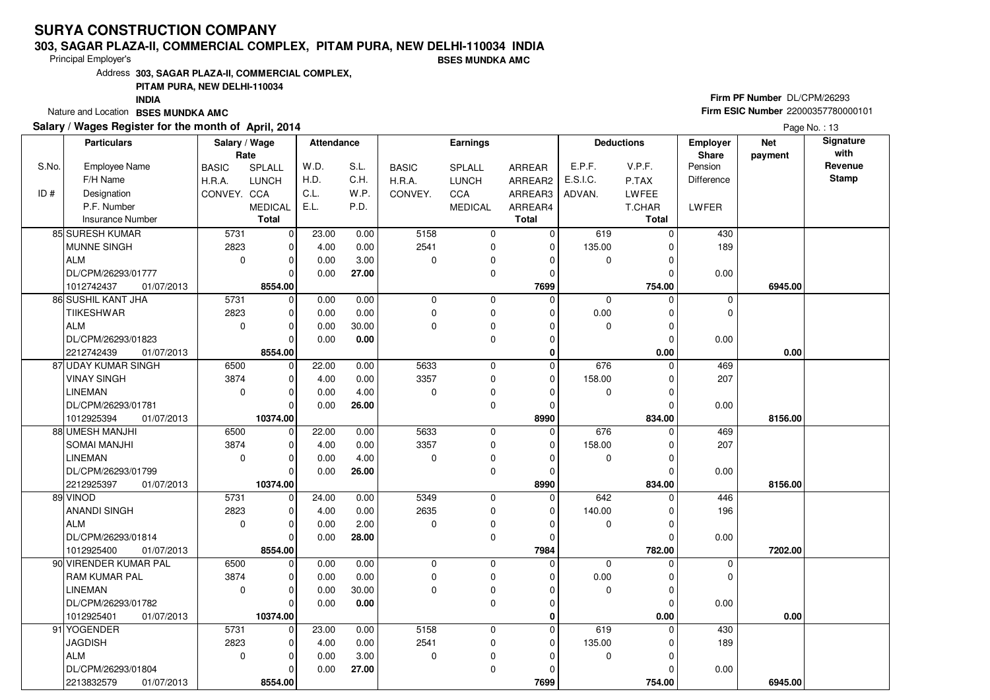#### **303, SAGAR PLAZA-II, COMMERCIAL COMPLEX, PITAM PURA, NEW DELHI-110034 INDIA**

Principal Employer's

**BSES MUNDKA AMC**

Address**303, SAGAR PLAZA-II, COMMERCIAL COMPLEX,**

### **PITAM PURA, NEW DELHI-110034**

**INDIA**

Nature and Location **BSES MUNDKA AMC** 

### **Salary / Wages Register for the month of April, 2014**

# **Firm PF Number** DL/CPM/26293 **Firm ESIC Number** <sup>22000357780000101</sup>

|       | <b>Particulars</b>       | Salary / Wage<br>Rate |                | <b>Attendance</b> |       | <b>Earnings</b> |                |               | <b>Deductions</b> |              | Employer<br>Share | <b>Net</b><br>payment | Signature<br>with |
|-------|--------------------------|-----------------------|----------------|-------------------|-------|-----------------|----------------|---------------|-------------------|--------------|-------------------|-----------------------|-------------------|
| S.No. | <b>Employee Name</b>     | <b>BASIC</b>          | SPLALL         | W.D.              | S.L.  | <b>BASIC</b>    | <b>SPLALL</b>  | <b>ARREAR</b> | E.P.F.            | V.P.F.       | Pension           |                       | Revenue           |
|       | F/H Name                 | H.R.A.                | <b>LUNCH</b>   | H.D.              | C.H.  | H.R.A.          | <b>LUNCH</b>   | ARREAR2       | E.S.I.C.          | P.TAX        | <b>Difference</b> |                       | <b>Stamp</b>      |
| ID#   | Designation              | CONVEY. CCA           |                | C.L.              | W.P.  | CONVEY.         | CCA            | ARREAR3       | ADVAN.            | <b>LWFEE</b> |                   |                       |                   |
|       | P.F. Number              |                       | <b>MEDICAL</b> | E.L.              | P.D.  |                 | <b>MEDICAL</b> | ARREAR4       |                   | T.CHAR       | LWFER             |                       |                   |
|       | <b>Insurance Number</b>  |                       | <b>Total</b>   |                   |       |                 |                | <b>Total</b>  |                   | <b>Total</b> |                   |                       |                   |
|       | 85 SURESH KUMAR          | 5731                  | $\mathbf 0$    | 23.00             | 0.00  | 5158            | 0              | $\mathbf 0$   | 619               | $\Omega$     | 430               |                       |                   |
|       | MUNNE SINGH              | 2823                  | $\mathbf 0$    | 4.00              | 0.00  | 2541            | 0              | $\mathbf 0$   | 135.00            | $\Omega$     | 189               |                       |                   |
|       | ALM                      | $\mathbf 0$           | $\mathbf 0$    | 0.00              | 3.00  | $\Omega$        | 0              | $\Omega$      | 0                 | U            |                   |                       |                   |
|       | DL/CPM/26293/01777       |                       | $\Omega$       | 0.00              | 27.00 |                 | 0              | $\mathbf 0$   |                   | O            | 0.00              |                       |                   |
|       | 1012742437<br>01/07/2013 |                       | 8554.00        |                   |       |                 |                | 7699          |                   | 754.00       |                   | 6945.00               |                   |
|       | 86 SUSHIL KANT JHA       | 5731                  | $\mathbf 0$    | 0.00              | 0.00  | $\mathbf 0$     | $\mathbf 0$    | $\Omega$      | $\mathbf 0$       | $\Omega$     | 0                 |                       |                   |
|       | <b>TIIKESHWAR</b>        | 2823                  | $\mathbf 0$    | 0.00              | 0.00  | 0               | 0              | 0             | 0.00              | 0            | 0                 |                       |                   |
|       | ALM                      | $\mathbf 0$           | $\mathbf 0$    | 0.00              | 30.00 | $\Omega$        | $\mathbf 0$    | $\Omega$      | 0                 | 0            |                   |                       |                   |
|       | DL/CPM/26293/01823       |                       | $\Omega$       | 0.00              | 0.00  |                 | $\mathbf 0$    | $\Omega$      |                   | $\Omega$     | 0.00              |                       |                   |
|       | 2212742439<br>01/07/2013 |                       | 8554.00        |                   |       |                 |                | $\bf{0}$      |                   | 0.00         |                   | 0.00                  |                   |
|       | 87 UDAY KUMAR SINGH      | 6500                  | $\mathbf 0$    | 22.00             | 0.00  | 5633            | 0              | 0             | 676               | $\Omega$     | 469               |                       |                   |
|       | <b>VINAY SINGH</b>       | 3874                  | $\mathbf 0$    | 4.00              | 0.00  | 3357            | $\mathbf 0$    | $\mathbf 0$   | 158.00            | 0            | 207               |                       |                   |
|       | <b>LINEMAN</b>           | $\mathbf 0$           | $\Omega$       | 0.00              | 4.00  | $\Omega$        | 0              | $\Omega$      | 0                 | $\Omega$     |                   |                       |                   |
|       | DL/CPM/26293/01781       |                       | $\Omega$       | 0.00              | 26.00 |                 | 0              | $\mathbf 0$   |                   | 0            | 0.00              |                       |                   |
|       | 1012925394<br>01/07/2013 |                       | 10374.00       |                   |       |                 |                | 8990          |                   | 834.00       |                   | 8156.00               |                   |
|       | 88 UMESH MANJHI          | 6500                  | 0              | 22.00             | 0.00  | 5633            | $\mathbf 0$    | $\Omega$      | 676               | $\Omega$     | 469               |                       |                   |
|       | <b>SOMAI MANJHI</b>      | 3874                  | $\mathbf 0$    | 4.00              | 0.00  | 3357            | $\mathbf 0$    | 0             | 158.00            |              | 207               |                       |                   |
|       | <b>LINEMAN</b>           | $\mathbf 0$           | $\mathbf 0$    | 0.00              | 4.00  | $\Omega$        | 0              | $\Omega$      | 0                 | $\Omega$     |                   |                       |                   |
|       | DL/CPM/26293/01799       |                       | $\Omega$       | 0.00              | 26.00 |                 | $\mathbf 0$    | $\Omega$      |                   | $\Omega$     | 0.00              |                       |                   |
|       | 2212925397<br>01/07/2013 |                       | 10374.00       |                   |       |                 |                | 8990          |                   | 834.00       |                   | 8156.00               |                   |
|       | 89 VINOD                 | 5731                  | $\mathbf 0$    | 24.00             | 0.00  | 5349            | 0              | $\mathbf 0$   | 642               | 0            | 446               |                       |                   |
|       | <b>ANANDI SINGH</b>      | 2823                  | $\mathbf 0$    | 4.00              | 0.00  | 2635            | $\mathbf 0$    | $\mathbf 0$   | 140.00            |              | 196               |                       |                   |
|       | ALM                      | $\mathbf 0$           | $\mathbf 0$    | 0.00              | 2.00  | $\Omega$        | 0              | 0             | 0                 | O            |                   |                       |                   |
|       | DL/CPM/26293/01814       |                       | $\Omega$       | 0.00              | 28.00 |                 | $\mathbf 0$    | $\mathbf 0$   |                   | $\Omega$     | 0.00              |                       |                   |
|       | 1012925400<br>01/07/2013 |                       | 8554.00        |                   |       |                 |                | 7984          |                   | 782.00       |                   | 7202.00               |                   |
|       | 90 VIRENDER KUMAR PAL    | 6500                  | $\mathbf 0$    | 0.00              | 0.00  | $\mathbf 0$     | $\mathbf 0$    | $\Omega$      | $\mathbf 0$       | $\Omega$     | 0                 |                       |                   |
|       | <b>RAM KUMAR PAL</b>     | 3874                  | $\mathbf 0$    | 0.00              | 0.00  | $\mathbf 0$     | 0              | $\Omega$      | 0.00              | $\Omega$     | 0                 |                       |                   |
|       | <b>LINEMAN</b>           | $\Omega$              | $\Omega$       | 0.00              | 30.00 | $\Omega$        | $\mathbf 0$    | $\Omega$      | $\mathbf 0$       | $\Omega$     |                   |                       |                   |
|       | DL/CPM/26293/01782       |                       | $\Omega$       | 0.00              | 0.00  |                 | $\Omega$       | $\Omega$      |                   | $\Omega$     | 0.00              |                       |                   |
|       | 1012925401<br>01/07/2013 |                       | 10374.00       |                   |       |                 |                | 0             |                   | 0.00         |                   | 0.00                  |                   |
|       | 91 YOGENDER              | 5731                  | $\mathbf 0$    | 23.00             | 0.00  | 5158            | 0              | 0             | 619               | $\Omega$     | 430               |                       |                   |
|       | <b>JAGDISH</b>           | 2823                  | $\mathbf 0$    | 4.00              | 0.00  | 2541            | 0              | $\Omega$      | 135.00            |              | 189               |                       |                   |
|       | ALM                      | $\mathbf 0$           | $\Omega$       | 0.00              | 3.00  | $\mathbf 0$     | 0              | $\Omega$      | 0                 | $\Omega$     |                   |                       |                   |
|       | DL/CPM/26293/01804       |                       | $\Omega$       | 0.00              | 27.00 |                 | $\mathbf 0$    | $\Omega$      |                   |              | 0.00              |                       |                   |
|       | 2213832579<br>01/07/2013 |                       | 8554.00        |                   |       |                 |                | 7699          |                   | 754.00       |                   | 6945.00               |                   |